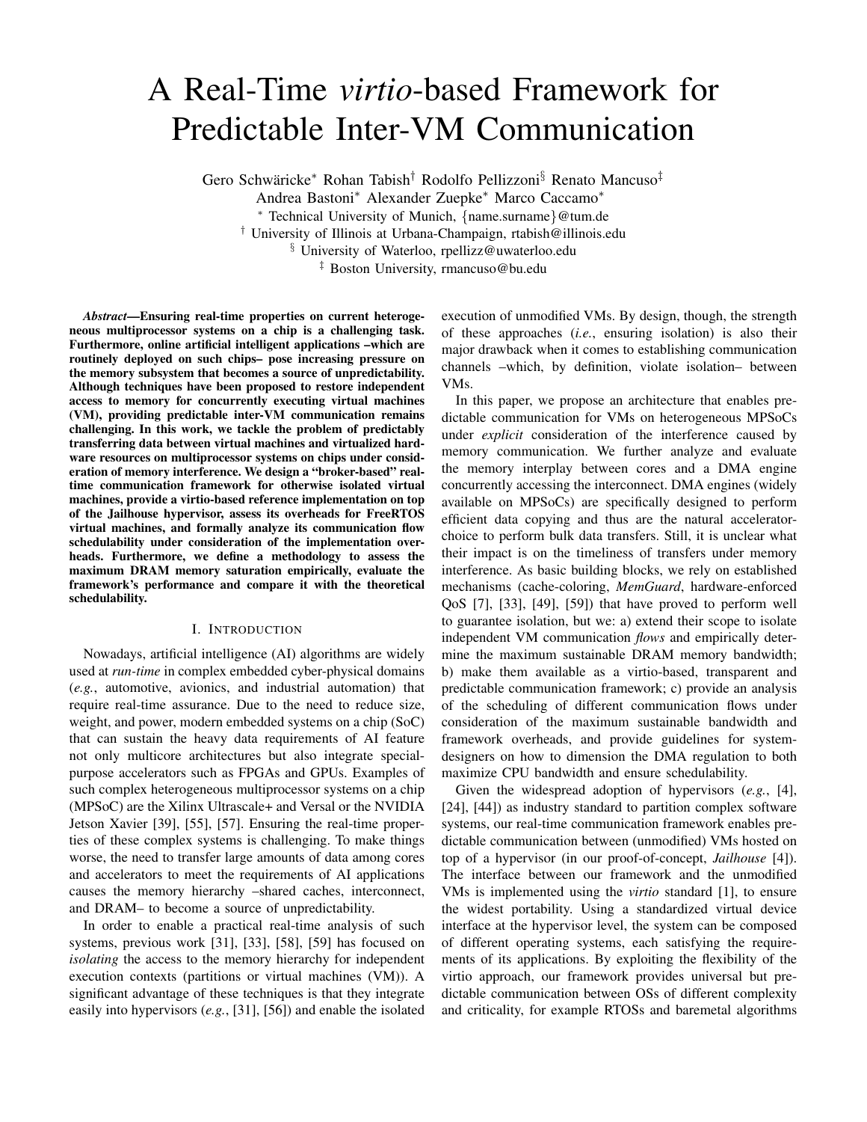# A Real-Time *virtio*-based Framework for Predictable Inter-VM Communication

Gero Schwäricke\* Rohan Tabish<sup>†</sup> Rodolfo Pellizzoni<sup>§</sup> Renato Mancuso<sup>‡</sup>

Andrea Bastoni<sup>∗</sup> Alexander Zuepke<sup>∗</sup> Marco Caccamo<sup>∗</sup>

<sup>∗</sup> Technical University of Munich, {name.surname}@tum.de

† University of Illinois at Urbana-Champaign, rtabish@illinois.edu

§ University of Waterloo, rpellizz@uwaterloo.edu

‡ Boston University, rmancuso@bu.edu

*Abstract*—Ensuring real-time properties on current heterogeneous multiprocessor systems on a chip is a challenging task. Furthermore, online artificial intelligent applications –which are routinely deployed on such chips– pose increasing pressure on the memory subsystem that becomes a source of unpredictability. Although techniques have been proposed to restore independent access to memory for concurrently executing virtual machines (VM), providing predictable inter-VM communication remains challenging. In this work, we tackle the problem of predictably transferring data between virtual machines and virtualized hardware resources on multiprocessor systems on chips under consideration of memory interference. We design a "broker-based" realtime communication framework for otherwise isolated virtual machines, provide a virtio-based reference implementation on top of the Jailhouse hypervisor, assess its overheads for FreeRTOS virtual machines, and formally analyze its communication flow schedulability under consideration of the implementation overheads. Furthermore, we define a methodology to assess the maximum DRAM memory saturation empirically, evaluate the framework's performance and compare it with the theoretical schedulability.

## I. INTRODUCTION

Nowadays, artificial intelligence (AI) algorithms are widely used at *run-time* in complex embedded cyber-physical domains (*e.g.*, automotive, avionics, and industrial automation) that require real-time assurance. Due to the need to reduce size, weight, and power, modern embedded systems on a chip (SoC) that can sustain the heavy data requirements of AI feature not only multicore architectures but also integrate specialpurpose accelerators such as FPGAs and GPUs. Examples of such complex heterogeneous multiprocessor systems on a chip (MPSoC) are the Xilinx Ultrascale+ and Versal or the NVIDIA Jetson Xavier [39], [55], [57]. Ensuring the real-time properties of these complex systems is challenging. To make things worse, the need to transfer large amounts of data among cores and accelerators to meet the requirements of AI applications causes the memory hierarchy –shared caches, interconnect, and DRAM– to become a source of unpredictability.

In order to enable a practical real-time analysis of such systems, previous work [31], [33], [58], [59] has focused on *isolating* the access to the memory hierarchy for independent execution contexts (partitions or virtual machines (VM)). A significant advantage of these techniques is that they integrate easily into hypervisors (*e.g.*, [31], [56]) and enable the isolated execution of unmodified VMs. By design, though, the strength of these approaches (*i.e.*, ensuring isolation) is also their major drawback when it comes to establishing communication channels –which, by definition, violate isolation– between VMs.

In this paper, we propose an architecture that enables predictable communication for VMs on heterogeneous MPSoCs under *explicit* consideration of the interference caused by memory communication. We further analyze and evaluate the memory interplay between cores and a DMA engine concurrently accessing the interconnect. DMA engines (widely available on MPSoCs) are specifically designed to perform efficient data copying and thus are the natural acceleratorchoice to perform bulk data transfers. Still, it is unclear what their impact is on the timeliness of transfers under memory interference. As basic building blocks, we rely on established mechanisms (cache-coloring, *MemGuard*, hardware-enforced QoS [7], [33], [49], [59]) that have proved to perform well to guarantee isolation, but we: a) extend their scope to isolate independent VM communication *flows* and empirically determine the maximum sustainable DRAM memory bandwidth; b) make them available as a virtio-based, transparent and predictable communication framework; c) provide an analysis of the scheduling of different communication flows under consideration of the maximum sustainable bandwidth and framework overheads, and provide guidelines for systemdesigners on how to dimension the DMA regulation to both maximize CPU bandwidth and ensure schedulability.

Given the widespread adoption of hypervisors (*e.g.*, [4], [24], [44]) as industry standard to partition complex software systems, our real-time communication framework enables predictable communication between (unmodified) VMs hosted on top of a hypervisor (in our proof-of-concept, *Jailhouse* [4]). The interface between our framework and the unmodified VMs is implemented using the *virtio* standard [1], to ensure the widest portability. Using a standardized virtual device interface at the hypervisor level, the system can be composed of different operating systems, each satisfying the requirements of its applications. By exploiting the flexibility of the virtio approach, our framework provides universal but predictable communication between OSs of different complexity and criticality, for example RTOSs and baremetal algorithms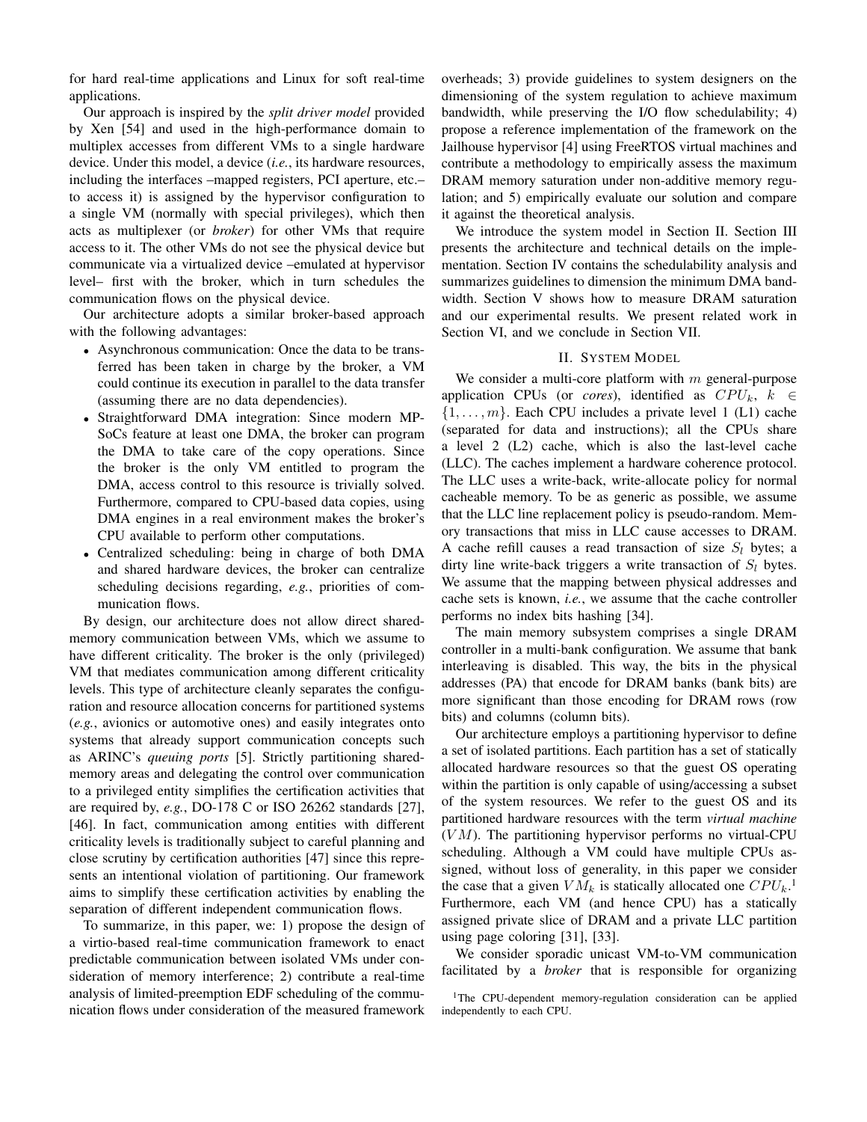for hard real-time applications and Linux for soft real-time applications.

Our approach is inspired by the *split driver model* provided by Xen [54] and used in the high-performance domain to multiplex accesses from different VMs to a single hardware device. Under this model, a device (*i.e.*, its hardware resources, including the interfaces –mapped registers, PCI aperture, etc.– to access it) is assigned by the hypervisor configuration to a single VM (normally with special privileges), which then acts as multiplexer (or *broker*) for other VMs that require access to it. The other VMs do not see the physical device but communicate via a virtualized device –emulated at hypervisor level– first with the broker, which in turn schedules the communication flows on the physical device.

Our architecture adopts a similar broker-based approach with the following advantages:

- Asynchronous communication: Once the data to be transferred has been taken in charge by the broker, a VM could continue its execution in parallel to the data transfer (assuming there are no data dependencies).
- Straightforward DMA integration: Since modern MP-SoCs feature at least one DMA, the broker can program the DMA to take care of the copy operations. Since the broker is the only VM entitled to program the DMA, access control to this resource is trivially solved. Furthermore, compared to CPU-based data copies, using DMA engines in a real environment makes the broker's CPU available to perform other computations.
- Centralized scheduling: being in charge of both DMA and shared hardware devices, the broker can centralize scheduling decisions regarding, *e.g.*, priorities of communication flows.

By design, our architecture does not allow direct sharedmemory communication between VMs, which we assume to have different criticality. The broker is the only (privileged) VM that mediates communication among different criticality levels. This type of architecture cleanly separates the configuration and resource allocation concerns for partitioned systems (*e.g.*, avionics or automotive ones) and easily integrates onto systems that already support communication concepts such as ARINC's *queuing ports* [5]. Strictly partitioning sharedmemory areas and delegating the control over communication to a privileged entity simplifies the certification activities that are required by, *e.g.*, DO-178 C or ISO 26262 standards [27], [46]. In fact, communication among entities with different criticality levels is traditionally subject to careful planning and close scrutiny by certification authorities [47] since this represents an intentional violation of partitioning. Our framework aims to simplify these certification activities by enabling the separation of different independent communication flows.

To summarize, in this paper, we: 1) propose the design of a virtio-based real-time communication framework to enact predictable communication between isolated VMs under consideration of memory interference; 2) contribute a real-time analysis of limited-preemption EDF scheduling of the communication flows under consideration of the measured framework overheads; 3) provide guidelines to system designers on the dimensioning of the system regulation to achieve maximum bandwidth, while preserving the I/O flow schedulability; 4) propose a reference implementation of the framework on the Jailhouse hypervisor [4] using FreeRTOS virtual machines and contribute a methodology to empirically assess the maximum DRAM memory saturation under non-additive memory regulation; and 5) empirically evaluate our solution and compare it against the theoretical analysis.

We introduce the system model in Section II. Section III presents the architecture and technical details on the implementation. Section IV contains the schedulability analysis and summarizes guidelines to dimension the minimum DMA bandwidth. Section V shows how to measure DRAM saturation and our experimental results. We present related work in Section VI, and we conclude in Section VII.

## II. SYSTEM MODEL

We consider a multi-core platform with  $m$  general-purpose application CPUs (or *cores*), identified as  $CPU_k$ ,  $k \in$  $\{1, \ldots, m\}$ . Each CPU includes a private level 1 (L1) cache (separated for data and instructions); all the CPUs share a level 2 (L2) cache, which is also the last-level cache (LLC). The caches implement a hardware coherence protocol. The LLC uses a write-back, write-allocate policy for normal cacheable memory. To be as generic as possible, we assume that the LLC line replacement policy is pseudo-random. Memory transactions that miss in LLC cause accesses to DRAM. A cache refill causes a read transaction of size  $S_l$  bytes; a dirty line write-back triggers a write transaction of  $S_l$  bytes. We assume that the mapping between physical addresses and cache sets is known, *i.e.*, we assume that the cache controller performs no index bits hashing [34].

The main memory subsystem comprises a single DRAM controller in a multi-bank configuration. We assume that bank interleaving is disabled. This way, the bits in the physical addresses (PA) that encode for DRAM banks (bank bits) are more significant than those encoding for DRAM rows (row bits) and columns (column bits).

Our architecture employs a partitioning hypervisor to define a set of isolated partitions. Each partition has a set of statically allocated hardware resources so that the guest OS operating within the partition is only capable of using/accessing a subset of the system resources. We refer to the guest OS and its partitioned hardware resources with the term *virtual machine*  $(VM)$ . The partitioning hypervisor performs no virtual-CPU scheduling. Although a VM could have multiple CPUs assigned, without loss of generality, in this paper we consider the case that a given  $VM_k$  is statically allocated one  $CPU_k$ <sup>1</sup> Furthermore, each VM (and hence CPU) has a statically assigned private slice of DRAM and a private LLC partition using page coloring [31], [33].

We consider sporadic unicast VM-to-VM communication facilitated by a *broker* that is responsible for organizing

<sup>&</sup>lt;sup>1</sup>The CPU-dependent memory-regulation consideration can be applied independently to each CPU.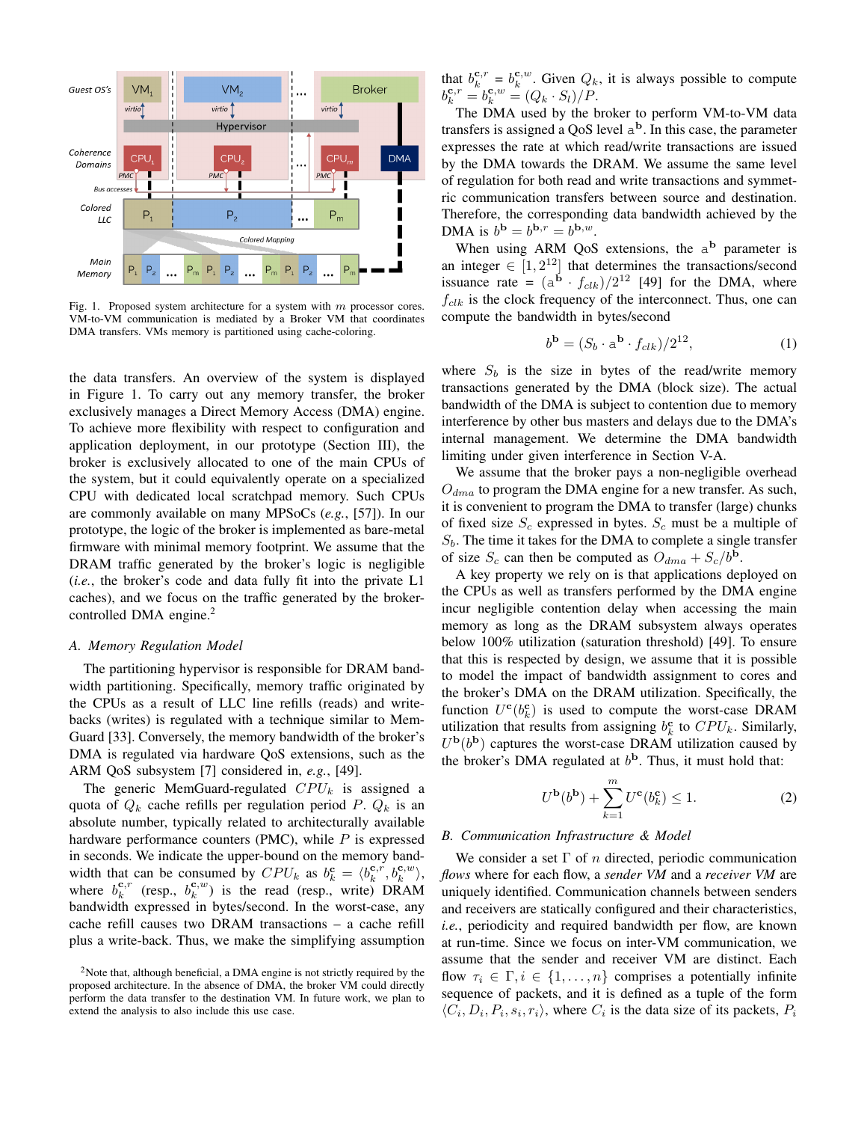

Fig. 1. Proposed system architecture for a system with  $m$  processor cores. VM-to-VM communication is mediated by a Broker VM that coordinates DMA transfers. VMs memory is partitioned using cache-coloring.

the data transfers. An overview of the system is displayed in Figure 1. To carry out any memory transfer, the broker exclusively manages a Direct Memory Access (DMA) engine. To achieve more flexibility with respect to configuration and application deployment, in our prototype (Section III), the broker is exclusively allocated to one of the main CPUs of the system, but it could equivalently operate on a specialized CPU with dedicated local scratchpad memory. Such CPUs are commonly available on many MPSoCs (*e.g.*, [57]). In our prototype, the logic of the broker is implemented as bare-metal firmware with minimal memory footprint. We assume that the DRAM traffic generated by the broker's logic is negligible (*i.e.*, the broker's code and data fully fit into the private L1 caches), and we focus on the traffic generated by the brokercontrolled DMA engine.<sup>2</sup>

## *A. Memory Regulation Model*

The partitioning hypervisor is responsible for DRAM bandwidth partitioning. Specifically, memory traffic originated by the CPUs as a result of LLC line refills (reads) and writebacks (writes) is regulated with a technique similar to Mem-Guard [33]. Conversely, the memory bandwidth of the broker's DMA is regulated via hardware QoS extensions, such as the ARM QoS subsystem [7] considered in, *e.g.*, [49].

The generic MemGuard-regulated  $CPU_k$  is assigned a quota of  $Q_k$  cache refills per regulation period P.  $Q_k$  is an absolute number, typically related to architecturally available hardware performance counters (PMC), while  $P$  is expressed in seconds. We indicate the upper-bound on the memory bandwidth that can be consumed by  $CPU_k$  as  $b_k^c = \langle b_k^{c,r}, b_k^{c,w} \rangle$ , where  $b_k^{c,r}$  (resp.,  $b_k^{c,w}$ ) is the read (resp., write) DRAM bandwidth expressed in bytes/second. In the worst-case, any cache refill causes two DRAM transactions – a cache refill plus a write-back. Thus, we make the simplifying assumption that  $b_k^{c,r} = b_k^{c,w}$ . Given  $Q_k$ , it is always possible to compute  $b_k^{\mathbf{c},r} = b_k^{\mathbf{c},w} = (Q_k \cdot S_l)/P.$ 

The DMA used by the broker to perform VM-to-VM data transfers is assigned a QoS level  $a^b$ . In this case, the parameter expresses the rate at which read/write transactions are issued by the DMA towards the DRAM. We assume the same level of regulation for both read and write transactions and symmetric communication transfers between source and destination. Therefore, the corresponding data bandwidth achieved by the DMA is  $b^{\mathbf{b}} = b^{\mathbf{b},r} = b^{\mathbf{b},w}$ .

When using ARM QoS extensions, the  $a^b$  parameter is an integer  $\in [1, 2^{12}]$  that determines the transactions/second issuance rate =  $(a^{\mathbf{b}} \cdot f_{clk})/2^{12}$  [49] for the DMA, where  $f_{clk}$  is the clock frequency of the interconnect. Thus, one can compute the bandwidth in bytes/second

$$
b^{\mathbf{b}} = (S_b \cdot a^{\mathbf{b}} \cdot f_{clk}) / 2^{12},\tag{1}
$$

where  $S_b$  is the size in bytes of the read/write memory transactions generated by the DMA (block size). The actual bandwidth of the DMA is subject to contention due to memory interference by other bus masters and delays due to the DMA's internal management. We determine the DMA bandwidth limiting under given interference in Section V-A.

We assume that the broker pays a non-negligible overhead  $O_{dma}$  to program the DMA engine for a new transfer. As such, it is convenient to program the DMA to transfer (large) chunks of fixed size  $S_c$  expressed in bytes.  $S_c$  must be a multiple of  $S_b$ . The time it takes for the DMA to complete a single transfer of size  $S_c$  can then be computed as  $O_{dma} + S_c/b^b$ .

A key property we rely on is that applications deployed on the CPUs as well as transfers performed by the DMA engine incur negligible contention delay when accessing the main memory as long as the DRAM subsystem always operates below 100% utilization (saturation threshold) [49]. To ensure that this is respected by design, we assume that it is possible to model the impact of bandwidth assignment to cores and the broker's DMA on the DRAM utilization. Specifically, the function  $U^{\mathbf{c}}(b_k^{\mathbf{c}})$  is used to compute the worst-case DRAM utilization that results from assigning  $b_k^c$  to  $CPU_k$ . Similarly,  $U^{\bf b}(b^{\bf b})$  captures the worst-case DRAM utilization caused by the broker's DMA regulated at  $b<sup>b</sup>$ . Thus, it must hold that:

$$
U^{\mathbf{b}}(b^{\mathbf{b}}) + \sum_{k=1}^{m} U^{\mathbf{c}}(b_k^{\mathbf{c}}) \le 1.
$$
 (2)

#### *B. Communication Infrastructure & Model*

We consider a set  $\Gamma$  of n directed, periodic communication *flows* where for each flow, a *sender VM* and a *receiver VM* are uniquely identified. Communication channels between senders and receivers are statically configured and their characteristics, *i.e.*, periodicity and required bandwidth per flow, are known at run-time. Since we focus on inter-VM communication, we assume that the sender and receiver VM are distinct. Each flow  $\tau_i \in \Gamma, i \in \{1, \ldots, n\}$  comprises a potentially infinite sequence of packets, and it is defined as a tuple of the form  $\langle C_i, D_i, P_i, s_i, r_i \rangle$ , where  $C_i$  is the data size of its packets,  $P_i$ 

<sup>&</sup>lt;sup>2</sup>Note that, although beneficial, a DMA engine is not strictly required by the proposed architecture. In the absence of DMA, the broker VM could directly perform the data transfer to the destination VM. In future work, we plan to extend the analysis to also include this use case.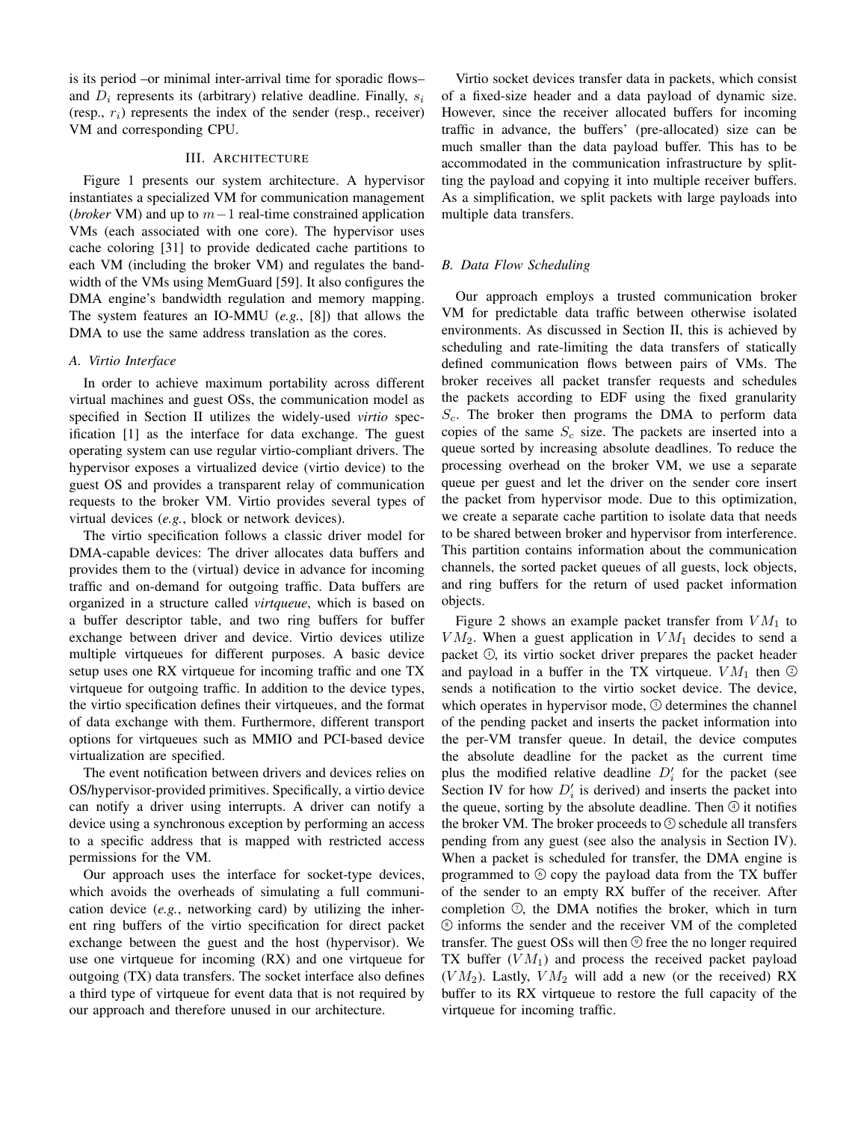is its period –or minimal inter-arrival time for sporadic flows– and  $D_i$  represents its (arbitrary) relative deadline. Finally,  $s_i$ (resp.,  $r_i$ ) represents the index of the sender (resp., receiver) VM and corresponding CPU.

## III. ARCHITECTURE

Figure 1 presents our system architecture. A hypervisor instantiates a specialized VM for communication management (*broker* VM) and up to m−1 real-time constrained application VMs (each associated with one core). The hypervisor uses cache coloring [31] to provide dedicated cache partitions to each VM (including the broker VM) and regulates the bandwidth of the VMs using MemGuard [59]. It also configures the DMA engine's bandwidth regulation and memory mapping. The system features an IO-MMU (*e.g.*, [8]) that allows the DMA to use the same address translation as the cores.

#### *A. Virtio Interface*

In order to achieve maximum portability across different virtual machines and guest OSs, the communication model as specified in Section II utilizes the widely-used *virtio* specification [1] as the interface for data exchange. The guest operating system can use regular virtio-compliant drivers. The hypervisor exposes a virtualized device (virtio device) to the guest OS and provides a transparent relay of communication requests to the broker VM. Virtio provides several types of virtual devices (*e.g.*, block or network devices).

The virtio specification follows a classic driver model for DMA-capable devices: The driver allocates data buffers and provides them to the (virtual) device in advance for incoming traffic and on-demand for outgoing traffic. Data buffers are organized in a structure called *virtqueue*, which is based on a buffer descriptor table, and two ring buffers for buffer exchange between driver and device. Virtio devices utilize multiple virtqueues for different purposes. A basic device setup uses one RX virtqueue for incoming traffic and one TX virtqueue for outgoing traffic. In addition to the device types, the virtio specification defines their virtqueues, and the format of data exchange with them. Furthermore, different transport options for virtqueues such as MMIO and PCI-based device virtualization are specified.

The event notification between drivers and devices relies on OS/hypervisor-provided primitives. Specifically, a virtio device can notify a driver using interrupts. A driver can notify a device using a synchronous exception by performing an access to a specific address that is mapped with restricted access permissions for the VM.

Our approach uses the interface for socket-type devices, which avoids the overheads of simulating a full communication device (*e.g.*, networking card) by utilizing the inherent ring buffers of the virtio specification for direct packet exchange between the guest and the host (hypervisor). We use one virtqueue for incoming (RX) and one virtqueue for outgoing (TX) data transfers. The socket interface also defines a third type of virtqueue for event data that is not required by our approach and therefore unused in our architecture.

Virtio socket devices transfer data in packets, which consist of a fixed-size header and a data payload of dynamic size. However, since the receiver allocated buffers for incoming traffic in advance, the buffers' (pre-allocated) size can be much smaller than the data payload buffer. This has to be accommodated in the communication infrastructure by splitting the payload and copying it into multiple receiver buffers. As a simplification, we split packets with large payloads into multiple data transfers.

# *B. Data Flow Scheduling*

Our approach employs a trusted communication broker VM for predictable data traffic between otherwise isolated environments. As discussed in Section II, this is achieved by scheduling and rate-limiting the data transfers of statically defined communication flows between pairs of VMs. The broker receives all packet transfer requests and schedules the packets according to EDF using the fixed granularity  $S<sub>c</sub>$ . The broker then programs the DMA to perform data copies of the same  $S_c$  size. The packets are inserted into a queue sorted by increasing absolute deadlines. To reduce the processing overhead on the broker VM, we use a separate queue per guest and let the driver on the sender core insert the packet from hypervisor mode. Due to this optimization, we create a separate cache partition to isolate data that needs to be shared between broker and hypervisor from interference. This partition contains information about the communication channels, the sorted packet queues of all guests, lock objects, and ring buffers for the return of used packet information objects.

Figure 2 shows an example packet transfer from  $VM<sub>1</sub>$  to  $VM_2$ . When a guest application in  $VM_1$  decides to send a packet  $\mathbb O$ , its virtio socket driver prepares the packet header and payload in a buffer in the TX virtqueue.  $VM_1$  then  $\circledcirc$ sends a notification to the virtio socket device. The device, which operates in hypervisor mode,  $\odot$  determines the channel of the pending packet and inserts the packet information into the per-VM transfer queue. In detail, the device computes the absolute deadline for the packet as the current time plus the modified relative deadline  $D_i'$  for the packet (see Section IV for how  $D_i'$  is derived) and inserts the packet into the queue, sorting by the absolute deadline. Then  $\odot$  it notifies the broker VM. The broker proceeds to  $\odot$  schedule all transfers pending from any guest (see also the analysis in Section IV). When a packet is scheduled for transfer, the DMA engine is programmed to  $\circledcirc$  copy the payload data from the TX buffer of the sender to an empty RX buffer of the receiver. After completion  $\odot$ , the DMA notifies the broker, which in turn <sup>8</sup> informs the sender and the receiver VM of the completed transfer. The guest OSs will then  $\circledcirc$  free the no longer required TX buffer  $(VM_1)$  and process the received packet payload  $(V M_2)$ . Lastly,  $V M_2$  will add a new (or the received) RX buffer to its RX virtqueue to restore the full capacity of the virtqueue for incoming traffic.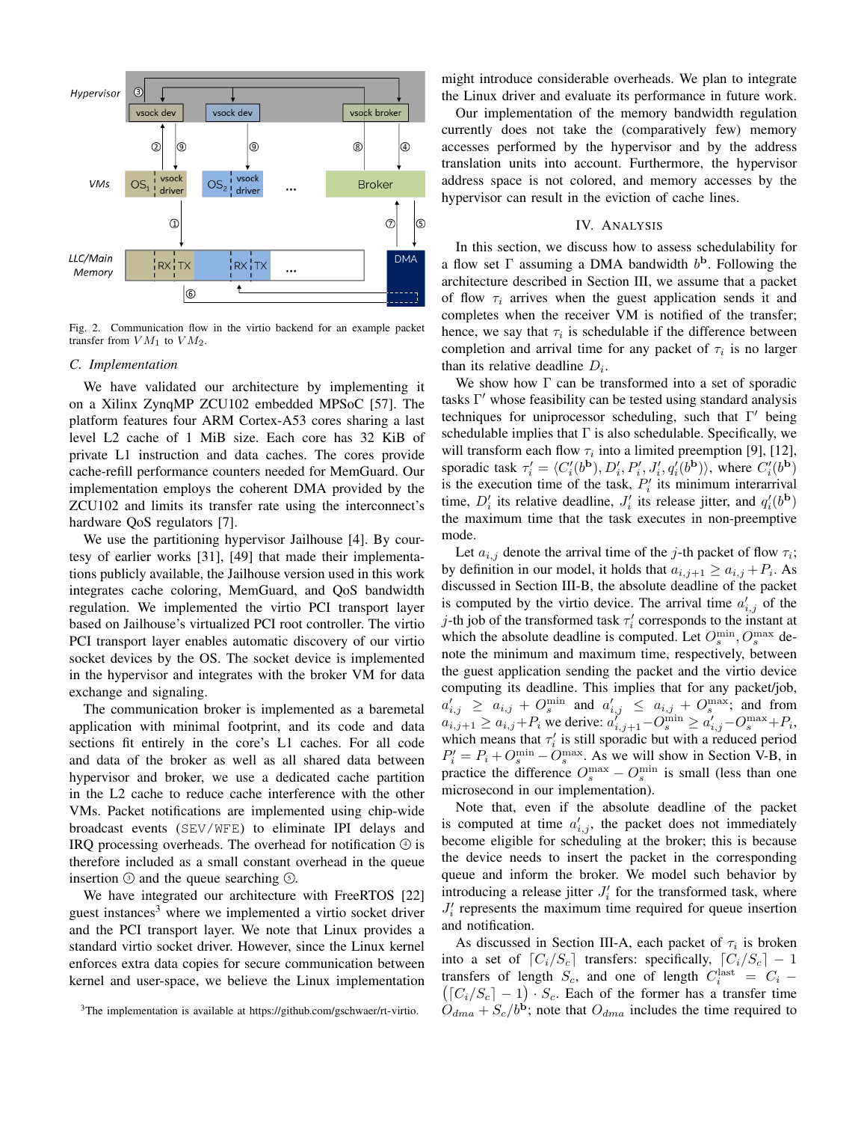

Fig. 2. Communication flow in the virtio backend for an example packet transfer from  $VM_1$  to  $VM_2$ .

## *C. Implementation*

We have validated our architecture by implementing it on a Xilinx ZynqMP ZCU102 embedded MPSoC [57]. The platform features four ARM Cortex-A53 cores sharing a last level L2 cache of 1 MiB size. Each core has 32 KiB of private L1 instruction and data caches. The cores provide cache-refill performance counters needed for MemGuard. Our implementation employs the coherent DMA provided by the ZCU102 and limits its transfer rate using the interconnect's hardware QoS regulators [7].

We use the partitioning hypervisor Jailhouse [4]. By courtesy of earlier works [31], [49] that made their implementations publicly available, the Jailhouse version used in this work integrates cache coloring, MemGuard, and QoS bandwidth regulation. We implemented the virtio PCI transport layer based on Jailhouse's virtualized PCI root controller. The virtio PCI transport layer enables automatic discovery of our virtio socket devices by the OS. The socket device is implemented in the hypervisor and integrates with the broker VM for data exchange and signaling.

The communication broker is implemented as a baremetal application with minimal footprint, and its code and data sections fit entirely in the core's L1 caches. For all code and data of the broker as well as all shared data between hypervisor and broker, we use a dedicated cache partition in the L2 cache to reduce cache interference with the other VMs. Packet notifications are implemented using chip-wide broadcast events (SEV/WFE) to eliminate IPI delays and IRO processing overheads. The overhead for notification  $\odot$  is therefore included as a small constant overhead in the queue insertion  $\odot$  and the queue searching  $\odot$ .

We have integrated our architecture with FreeRTOS [22] guest instances<sup>3</sup> where we implemented a virtio socket driver and the PCI transport layer. We note that Linux provides a standard virtio socket driver. However, since the Linux kernel enforces extra data copies for secure communication between kernel and user-space, we believe the Linux implementation might introduce considerable overheads. We plan to integrate the Linux driver and evaluate its performance in future work.

Our implementation of the memory bandwidth regulation currently does not take the (comparatively few) memory accesses performed by the hypervisor and by the address translation units into account. Furthermore, the hypervisor address space is not colored, and memory accesses by the hypervisor can result in the eviction of cache lines.

# IV. ANALYSIS

In this section, we discuss how to assess schedulability for a flow set  $\Gamma$  assuming a DMA bandwidth  $b^{\bf b}$ . Following the architecture described in Section III, we assume that a packet of flow  $\tau_i$  arrives when the guest application sends it and completes when the receiver VM is notified of the transfer; hence, we say that  $\tau_i$  is schedulable if the difference between completion and arrival time for any packet of  $\tau_i$  is no larger than its relative deadline  $D_i$ .

We show how  $\Gamma$  can be transformed into a set of sporadic tasks Γ ′ whose feasibility can be tested using standard analysis techniques for uniprocessor scheduling, such that Γ ′ being schedulable implies that  $\Gamma$  is also schedulable. Specifically, we will transform each flow  $\tau_i$  into a limited preemption [9], [12], sporadic task  $\tau'_i = \langle C'_i(b^{\mathbf{b}}), D'_i, P'_i, J'_i, q'_i(b^{\mathbf{b}}) \rangle$ , where  $C'_i(b^{\mathbf{b}})$ is the execution time of the task,  $P'_i$  its minimum interarrival time,  $D'_i$  its relative deadline,  $J'_i$  its release jitter, and  $q'_i(b^b)$ the maximum time that the task executes in non-preemptive mode.

Let  $a_{i,j}$  denote the arrival time of the j-th packet of flow  $\tau_i$ ; by definition in our model, it holds that  $a_{i,j+1} \ge a_{i,j} + P_i$ . As discussed in Section III-B, the absolute deadline of the packet is computed by the virtio device. The arrival time  $a'_{i,j}$  of the j-th job of the transformed task  $\tau'_i$  corresponds to the instant at which the absolute deadline is computed. Let  $O_s^{\min}$ ,  $O_s^{\max}$  denote the minimum and maximum time, respectively, between the guest application sending the packet and the virtio device computing its deadline. This implies that for any packet/job,  $a'_{i,j} \ge a_{i,j} + O_s^{\min}$  and  $a'_{i,j} \le a_{i,j} + O_s^{\max}$ ; and from  $a_{i,j+1} \ge a_{i,j} + P_i$  we derive:  $a_{i,j+1}^{\gamma} - O_s^{\min} \ge a_{i,j}^{\gamma} - O_s^{\max} + P_i$ , which means that  $\tau'_{i}$  is still sporadic but with a reduced period  $P'_i = P_i + O_s^{\min} - O_s^{\max}$ . As we will show in Section V-B, in practice the difference  $O_s^{\max} - O_s^{\min}$  is small (less than one microsecond in our implementation).

Note that, even if the absolute deadline of the packet is computed at time  $a'_{i,j}$ , the packet does not immediately become eligible for scheduling at the broker; this is because the device needs to insert the packet in the corresponding queue and inform the broker. We model such behavior by introducing a release jitter  $J_i'$  for the transformed task, where  $J_i'$  represents the maximum time required for queue insertion and notification.

As discussed in Section III-A, each packet of  $\tau_i$  is broken into a set of  $[C_i/S_c]$  transfers: specifically,  $[C_i/S_c] - 1$ transfers of length  $S_c$ , and one of length  $C_i^{\text{last}}$ transfers of length  $S_c$ , and one of length  $C_i^{\text{last}} = C_i - ( [C_i/S_c] - 1) \cdot S_c$ . Each of the former has a transfer time  $O_{dma} + S_c/b^b$ ; note that  $O_{dma}$  includes the time required to

<sup>&</sup>lt;sup>3</sup>The implementation is available at https://github.com/gschwaer/rt-virtio.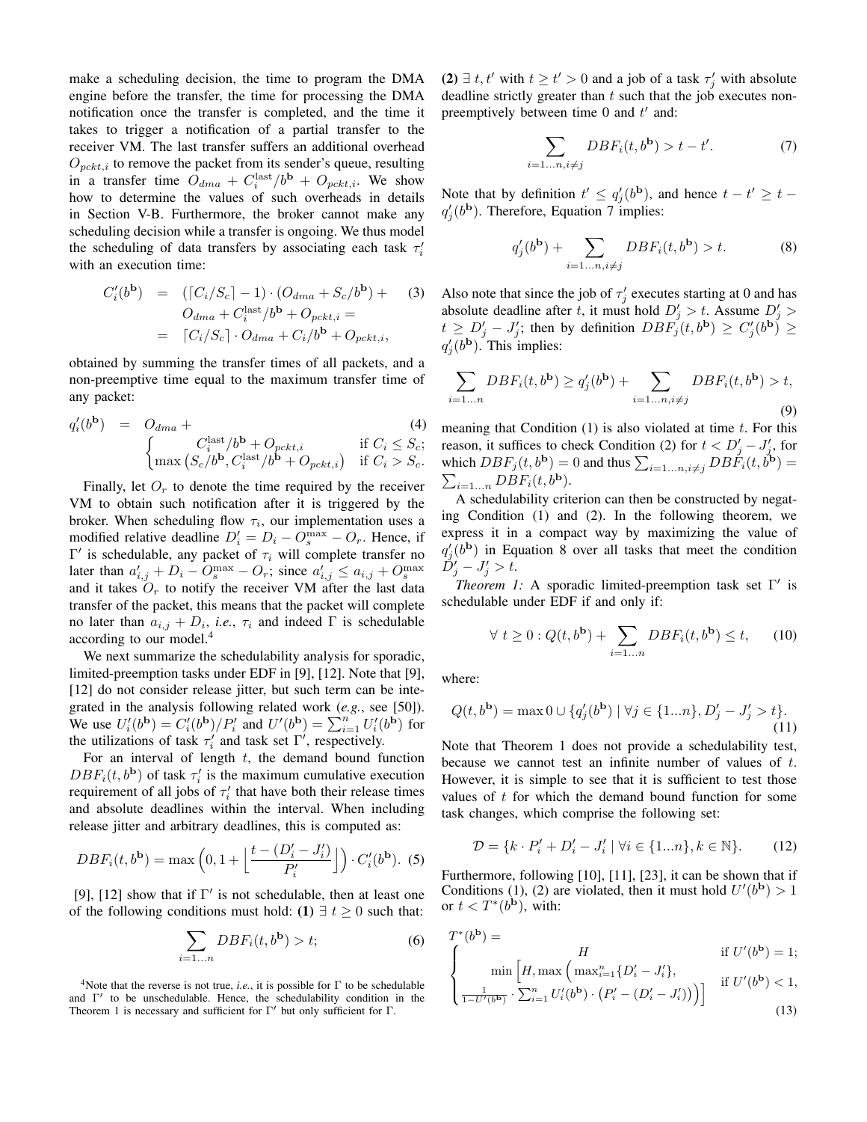make a scheduling decision, the time to program the DMA engine before the transfer, the time for processing the DMA notification once the transfer is completed, and the time it takes to trigger a notification of a partial transfer to the receiver VM. The last transfer suffers an additional overhead  $O_{pckt,i}$  to remove the packet from its sender's queue, resulting in a transfer time  $\ddot{O}_{dma} + C_i^{\text{last}}/b^{\text{b}} + O_{pckt,i}$ . We show how to determine the values of such overheads in details in Section V-B. Furthermore, the broker cannot make any scheduling decision while a transfer is ongoing. We thus model the scheduling of data transfers by associating each task  $\tau'_{i}$ with an execution time:

$$
C_i'(b^{\mathbf{b}}) = (\lceil C_i/S_c \rceil - 1) \cdot (O_{dma} + S_c/b^{\mathbf{b}}) + (3)
$$
  
\n
$$
O_{dma} + C_i^{\text{last}}/b^{\mathbf{b}} + O_{pckt,i} =
$$
  
\n
$$
= \lceil C_i/S_c \rceil \cdot O_{dma} + C_i/b^{\mathbf{b}} + O_{pckt,i},
$$

obtained by summing the transfer times of all packets, and a non-preemptive time equal to the maximum transfer time of any packet:

$$
q'_i(b^{\mathbf{b}}) = O_{dma} + (4)
$$
  

$$
\begin{cases} C_i^{\text{last}}/b^{\mathbf{b}} + O_{pckt,i} & \text{if } C_i \leq S_c; \\ \max\left(S_c/b^{\mathbf{b}}, C_i^{\text{last}}/b^{\mathbf{b}} + O_{pckt,i}\right) & \text{if } C_i > S_c. \end{cases}
$$

Finally, let  $O<sub>r</sub>$  to denote the time required by the receiver VM to obtain such notification after it is triggered by the broker. When scheduling flow  $\tau_i$ , our implementation uses a modified relative deadline  $D'_i = D_i - O_s^{\max} - O_r$ . Hence, if Γ' is schedulable, any packet of  $τ<sub>i</sub>$  will complete transfer no later than  $a'_{i,j} + D_i - O_s^{\max} - O_r$ ; since  $a'_{i,j} \le a_{i,j} + O_s^{\max}$ and it takes  $O_r$  to notify the receiver VM after the last data transfer of the packet, this means that the packet will complete no later than  $a_{i,j} + D_i$ , *i.e.*,  $\tau_i$  and indeed  $\Gamma$  is schedulable according to our model.<sup>4</sup>

We next summarize the schedulability analysis for sporadic, limited-preemption tasks under EDF in [9], [12]. Note that [9], [12] do not consider release jitter, but such term can be integrated in the analysis following related work (*e.g.*, see [50]). We use  $U_i'(b^{\mathbf{b}}) = C_i'(b^{\mathbf{b}})/P_i'$  and  $U'(b^{\mathbf{b}}) = \sum_{i=1}^n U_i'(b^{\mathbf{b}})$  for the utilizations of task  $\tau'_i$  and task set  $\Gamma'$ , respectively.

For an interval of length  $t$ , the demand bound function  $DBF_i(t, b^{\mathbf{b}})$  of task  $\tau'_i$  is the maximum cumulative execution requirement of all jobs of  $\tau'_{i}$  that have both their release times and absolute deadlines within the interval. When including release jitter and arbitrary deadlines, this is computed as:

$$
DBF_i(t, b^{\mathbf{b}}) = \max\left(0, 1 + \left\lfloor \frac{t - (D'_i - J'_i)}{P'_i} \right\rfloor\right) \cdot C'_i(b^{\mathbf{b}}). \tag{5}
$$

[9], [12] show that if  $\Gamma'$  is not schedulable, then at least one of the following conditions must hold: (1)  $\exists t \geq 0$  such that:

$$
\sum_{i=1...n} DBF_i(t, b^{\mathbf{b}}) > t; \tag{6}
$$

<sup>4</sup>Note that the reverse is not true, *i.e.*, it is possible for  $\Gamma$  to be schedulable and Γ ′ to be unschedulable. Hence, the schedulability condition in the Theorem 1 is necessary and sufficient for  $\Gamma'$  but only sufficient for  $\Gamma$ .

(2)  $\exists t, t'$  with  $t \ge t' > 0$  and a job of a task  $\tau'_j$  with absolute deadline strictly greater than  $t$  such that the job executes nonpreemptively between time  $0$  and  $t'$  and:

$$
\sum_{i=1...n, i \neq j} DBF_i(t, b^{\mathbf{b}}) > t - t'. \tag{7}
$$

Note that by definition  $t' \leq q'_j(b^{\mathbf{b}})$ , and hence  $t - t' \geq t$  $q'_j(b^{\mathbf{b}})$ . Therefore, Equation 7 implies:

$$
q_j'(b^{\mathbf{b}}) + \sum_{i=1...n, i \neq j} DBF_i(t, b^{\mathbf{b}}) > t.
$$
 (8)

Also note that since the job of  $\tau'_j$  executes starting at 0 and has absolute deadline after t, it must hold  $D'_j > t$ . Assume  $D'_j > t$  $t \ge D'_j - J'_j$ ; then by definition  $DBF'_j(t, b^{\mathbf{b}}) \ge C'_j(b^{\mathbf{b}}) \ge$  $q'_j(b^{\mathbf{b}})$ . This implies:

$$
\sum_{i=1...n} DBF_i(t, b^{\mathbf{b}}) \ge q'_j(b^{\mathbf{b}}) + \sum_{i=1...n, i \ne j} DBF_i(t, b^{\mathbf{b}}) > t,
$$
\n(9)

meaning that Condition  $(1)$  is also violated at time t. For this reason, it suffices to check Condition (2) for  $t < D'_j - J'_j$ , for which  $DBF_j(t, b^{\mathbf{b}}) = 0$  and thus  $\sum_{i=1...n, i \neq j} DBF_i(t, b^{\mathbf{b}}) =$  $\sum_{i=1...n} DBF_i(t, b^{\mathbf{b}}).$ 

A schedulability criterion can then be constructed by negating Condition (1) and (2). In the following theorem, we express it in a compact way by maximizing the value of  $q'_{j}(b^{\mathbf{b}})$  in Equation 8 over all tasks that meet the condition  $\check{D}'_j-J'_j>t.$ 

*Theorem 1:* A sporadic limited-preemption task set  $\Gamma'$  is schedulable under EDF if and only if:

$$
\forall t \ge 0 : Q(t, b^{\mathbf{b}}) + \sum_{i=1...n} DBF_i(t, b^{\mathbf{b}}) \le t,
$$
 (10)

where:

$$
Q(t, b^{\mathbf{b}}) = \max 0 \cup \{q'_j(b^{\mathbf{b}}) \mid \forall j \in \{1...n\}, D'_j - J'_j > t\}.
$$
\n(11)

Note that Theorem 1 does not provide a schedulability test, because we cannot test an infinite number of values of t. However, it is simple to see that it is sufficient to test those values of  $t$  for which the demand bound function for some task changes, which comprise the following set:

$$
\mathcal{D} = \{k \cdot P'_i + D'_i - J'_i \mid \forall i \in \{1...n\}, k \in \mathbb{N}\}.
$$
 (12)

Furthermore, following [10], [11], [23], it can be shown that if Conditions (1), (2) are violated, then it must hold  $U'(b^{\mathbf{b}}) > 1$ or  $t < T^*(b^{\mathbf{b}})$ , with:

$$
T^*(b^{\mathbf{b}}) = \n\begin{cases} \nH & \text{if } U'(b^{\mathbf{b}}) = 1; \\
\min\left[H, \max\left(\max_{i=1}^n \{D'_i - J'_i\}, \frac{1}{1 - U'(b^{\mathbf{b}})} \cdot \sum_{i=1}^n U'_i(b^{\mathbf{b}}) \cdot \left(P'_i - (D'_i - J'_i)\right)\right)\right] & \text{if } U'(b^{\mathbf{b}}) < 1,\n\end{cases}
$$
\n(13)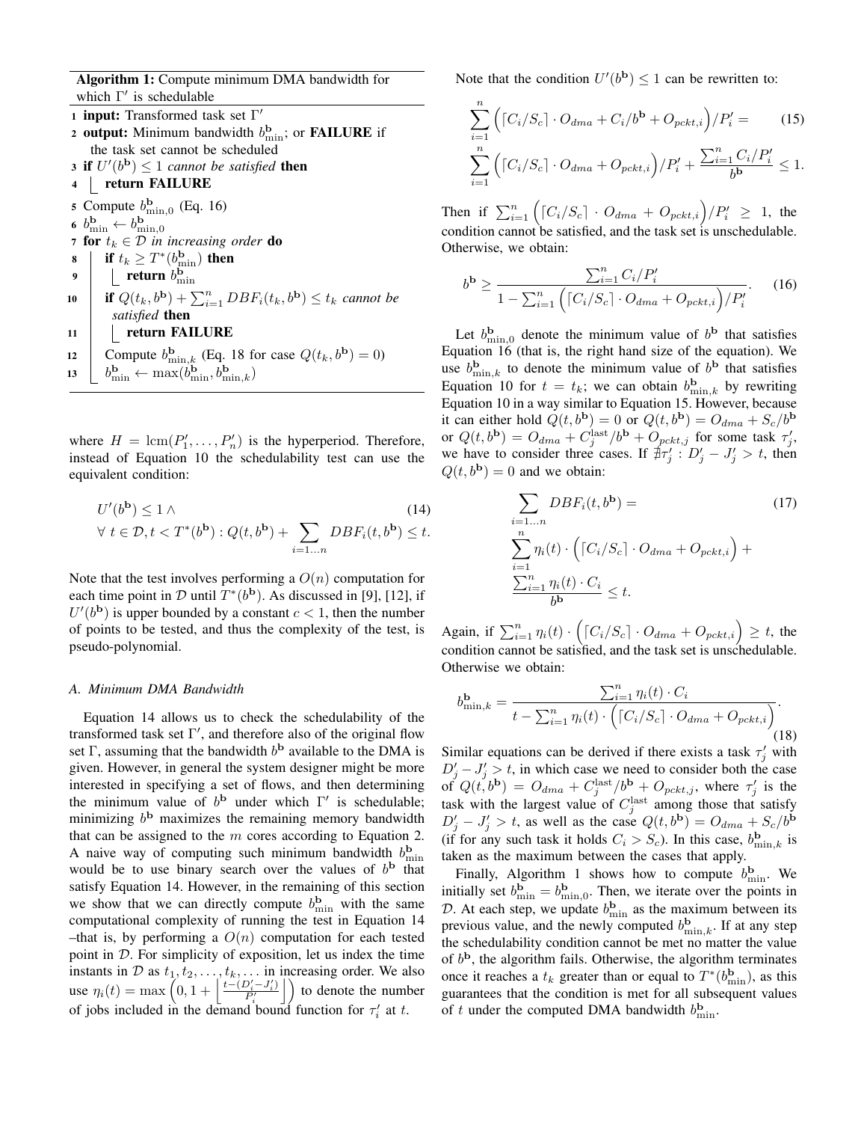Algorithm 1: Compute minimum DMA bandwidth for which Γ' is schedulable

- 1 input: Transformed task set Γ' 2 output: Minimum bandwidth  $b_{\min}^{\mathbf{b}}$ ; or **FAILURE** if the task set cannot be scheduled **3 if**  $U'(b^{\mathbf{b}}) \leq 1$  *cannot be satisfied* **then**
- 4 | return FAILURE

5 Compute  $b_{\min,0}^{\mathbf{b}}$  (Eq. 16) 6  $b_{\min}^{\mathbf{b}} \leftarrow b_{\min,0}^{\mathbf{b}}$ 7 for  $t_k \in \mathcal{D}$  *in increasing order* do 8 if  $t_k \geq T^*(b_{\min}^{\mathbf{b}})$  then 9  $\left| \right|$  return  $b_{\min}^{\text{b}}$ 10 **if**  $Q(t_k, b^{\mathbf{b}}) + \sum_{i=1}^n DBF_i(t_k, b^{\mathbf{b}}) \leq t_k$  cannot be *satisfied* then 11 | return FAILURE 12 Compute  $b_{\min,k}^{\mathbf{b}}$  (Eq. 18 for case  $Q(t_k, b^{\mathbf{b}}) = 0$ ) 13  $b_{\min}^{\mathbf{b}} \leftarrow \max(b_{\min}^{\mathbf{b}}, b_{\min,k}^{\mathbf{b}})$ 

where  $H = \text{lcm}(P'_1, \ldots, P'_n)$  is the hyperperiod. Therefore, instead of Equation 10 the schedulability test can use the equivalent condition:

$$
U'(b^{\mathbf{b}}) \le 1 \wedge \qquad (14)
$$
  
\n
$$
\forall t \in \mathcal{D}, t < T^*(b^{\mathbf{b}}): Q(t, b^{\mathbf{b}}) + \sum_{i=1...n} DBF_i(t, b^{\mathbf{b}}) \le t.
$$

Note that the test involves performing a  $O(n)$  computation for each time point in  $\mathcal D$  until  $T^*(b^{\bf b})$ . As discussed in [9], [12], if  $U'(b^{\mathbf{b}})$  is upper bounded by a constant  $c < 1$ , then the number of points to be tested, and thus the complexity of the test, is pseudo-polynomial.

## *A. Minimum DMA Bandwidth*

Equation 14 allows us to check the schedulability of the transformed task set  $\Gamma'$ , and therefore also of the original flow set  $\Gamma$ , assuming that the bandwidth  $b^{\bf b}$  available to the DMA is given. However, in general the system designer might be more interested in specifying a set of flows, and then determining the minimum value of  $b^{\mathbf{b}}$  under which  $\Gamma'$  is schedulable; minimizing  $b^{\text{b}}$  maximizes the remaining memory bandwidth that can be assigned to the  $m$  cores according to Equation 2. A naive way of computing such minimum bandwidth  $b_{\min}^{\mathbf{b}}$ would be to use binary search over the values of  $b^{\mathbf{b}}$  that satisfy Equation 14. However, in the remaining of this section we show that we can directly compute  $b_{\min}^{\mathbf{b}}$  with the same computational complexity of running the test in Equation 14 –that is, by performing a  $O(n)$  computation for each tested point in D. For simplicity of exposition, let us index the time instants in  $D$  as  $t_1, t_2, \ldots, t_k, \ldots$  in increasing order. We also use  $\eta_i(t) = \max\left(0, 1 + \left|\frac{t - (D'_i - J'_i)}{P'_i}\right|\right)$  to denote the number of jobs included in the demand bound function for  $\tau'_i$  at t.

Note that the condition  $U'(b^{\mathbf{b}}) \leq 1$  can be rewritten to:

$$
\sum_{i=1}^{n} \left( [C_i/S_c] \cdot O_{dma} + C_i/b^{\mathbf{b}} + O_{pckt,i} \right) / P'_i = (15)
$$
  

$$
\sum_{i=1}^{n} \left( [C_i/S_c] \cdot O_{dma} + O_{pckt,i} \right) / P'_i + \frac{\sum_{i=1}^{n} C_i / P'_i}{b^{\mathbf{b}}} \le 1.
$$

Then if  $\sum_{i=1}^{n} ([C_i/S_c] \cdot O_{dma} + O_{pckt,i})/P'_i \geq 1$ , the condition cannot be satisfied, and the task set is unschedulable. Otherwise, we obtain:

$$
b^{\mathbf{b}} \ge \frac{\sum_{i=1}^{n} C_i / P'_i}{1 - \sum_{i=1}^{n} \left( \left[ C_i / S_c \right] \cdot O_{dma} + O_{pckt,i} \right) / P'_i}.
$$
 (16)

Let  $b_{\min,0}^{\mathbf{b}}$  denote the minimum value of  $b^{\mathbf{b}}$  that satisfies Equation 16 (that is, the right hand size of the equation). We use  $b_{\min,k}^{\mathbf{b}}$  to denote the minimum value of  $b^{\mathbf{b}}$  that satisfies Equation 10 for  $t = t_k$ ; we can obtain  $b_{\min,k}^{\mathbf{b}}$  by rewriting Equation 10 in a way similar to Equation 15. However, because it can either hold  $Q(t, b^{\mathbf{b}}) = 0$  or  $Q(t, b^{\mathbf{b}}) = O_{dma} + S_c/b^{\mathbf{b}}$ or  $Q(t, b^{\mathbf{b}}) = O_{dma} + C_j^{\text{last}}/b^{\mathbf{b}} + O_{pckt,j}$  for some task  $\tau'_j$ , we have to consider three cases. If  $\frac{4}{7} \tau'_j : D'_j - J'_j > t$ , then  $Q(t, b^{\mathbf{b}}) = 0$  and we obtain:

$$
\sum_{i=1...n} DBF_i(t, b^{\mathbf{b}}) = \qquad (17)
$$
\n
$$
\sum_{i=1}^{n} \eta_i(t) \cdot \left( [C_i/S_c] \cdot O_{dma} + O_{pckt,i} \right) + \frac{\sum_{i=1}^{n} \eta_i(t) \cdot C_i}{b^{\mathbf{b}}} \le t.
$$

Again, if  $\sum_{i=1}^{n} \eta_i(t) \cdot (\lceil C_i/S_c \rceil \cdot O_{dma} + O_{pckt,i}) \geq t$ , the condition cannot be satisfied, and the task set is unschedulable. Otherwise we obtain:

$$
b_{\min,k}^{\mathbf{b}} = \frac{\sum_{i=1}^{n} \eta_i(t) \cdot C_i}{t - \sum_{i=1}^{n} \eta_i(t) \cdot \left( \left[ C_i / S_c \right] \cdot O_{dma} + O_{pckt,i} \right)}.
$$
\n(18)

Similar equations can be derived if there exists a task  $\tau'_j$  with  $D'_j - J'_j > t$ , in which case we need to consider both the case of  $Q(t, b^{\mathbf{b}}) = O_{dma} + C_j^{\text{last}}/b^{\mathbf{b}} + O_{pckt,j}$ , where  $\tau'_j$  is the task with the largest value of  $C_j^{\text{last}}$  among those that satisfy  $D'_j - J'_j > t$ , as well as the case  $Q(t, b^b) = O_{dma} + S_c/b^b$ (if for any such task it holds  $C_i > S_c$ ). In this case,  $b_{\min,k}^{\mathbf{b}}$  is taken as the maximum between the cases that apply.

Finally, Algorithm 1 shows how to compute  $b_{\min}^{\mathbf{b}}$ . We initially set  $b_{\min}^{\mathbf{b}} = b_{\min,0}^{\mathbf{b}}$ . Then, we iterate over the points in D. At each step, we update  $b_{\min}^{\mathbf{b}}$  as the maximum between its previous value, and the newly computed  $b_{\min,k}^{\mathbf{b}}$ . If at any step the schedulability condition cannot be met no matter the value of  $b^{\bf b}$ , the algorithm fails. Otherwise, the algorithm terminates once it reaches a  $t_k$  greater than or equal to  $T^*(b_{\min}^{\mathbf{b}})$ , as this guarantees that the condition is met for all subsequent values of t under the computed DMA bandwidth  $b_{\min}^{\mathbf{b}}$ .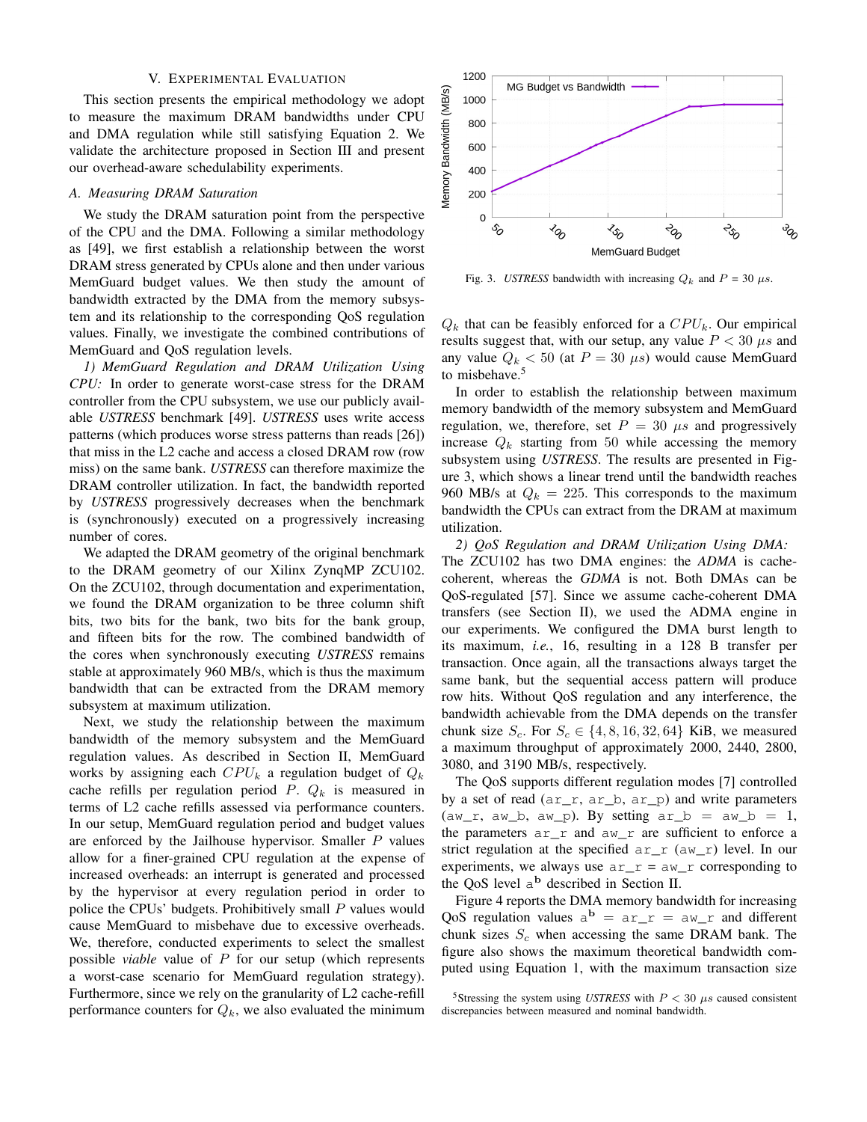# V. EXPERIMENTAL EVALUATION

This section presents the empirical methodology we adopt to measure the maximum DRAM bandwidths under CPU and DMA regulation while still satisfying Equation 2. We validate the architecture proposed in Section III and present our overhead-aware schedulability experiments.

# *A. Measuring DRAM Saturation*

We study the DRAM saturation point from the perspective of the CPU and the DMA. Following a similar methodology as [49], we first establish a relationship between the worst DRAM stress generated by CPUs alone and then under various MemGuard budget values. We then study the amount of bandwidth extracted by the DMA from the memory subsystem and its relationship to the corresponding QoS regulation values. Finally, we investigate the combined contributions of MemGuard and QoS regulation levels.

*1) MemGuard Regulation and DRAM Utilization Using CPU:* In order to generate worst-case stress for the DRAM controller from the CPU subsystem, we use our publicly available *USTRESS* benchmark [49]. *USTRESS* uses write access patterns (which produces worse stress patterns than reads [26]) that miss in the L2 cache and access a closed DRAM row (row miss) on the same bank. *USTRESS* can therefore maximize the DRAM controller utilization. In fact, the bandwidth reported by *USTRESS* progressively decreases when the benchmark is (synchronously) executed on a progressively increasing number of cores.

We adapted the DRAM geometry of the original benchmark to the DRAM geometry of our Xilinx ZynqMP ZCU102. On the ZCU102, through documentation and experimentation, we found the DRAM organization to be three column shift bits, two bits for the bank, two bits for the bank group, and fifteen bits for the row. The combined bandwidth of the cores when synchronously executing *USTRESS* remains stable at approximately 960 MB/s, which is thus the maximum bandwidth that can be extracted from the DRAM memory subsystem at maximum utilization.

Next, we study the relationship between the maximum bandwidth of the memory subsystem and the MemGuard regulation values. As described in Section II, MemGuard works by assigning each  $CPU_k$  a regulation budget of  $Q_k$ cache refills per regulation period  $P$ .  $Q_k$  is measured in terms of L2 cache refills assessed via performance counters. In our setup, MemGuard regulation period and budget values are enforced by the Jailhouse hypervisor. Smaller  $P$  values allow for a finer-grained CPU regulation at the expense of increased overheads: an interrupt is generated and processed by the hypervisor at every regulation period in order to police the CPUs' budgets. Prohibitively small P values would cause MemGuard to misbehave due to excessive overheads. We, therefore, conducted experiments to select the smallest possible *viable* value of P for our setup (which represents a worst-case scenario for MemGuard regulation strategy). Furthermore, since we rely on the granularity of L2 cache-refill performance counters for  $Q_k$ , we also evaluated the minimum



Fig. 3. *USTRESS* bandwidth with increasing  $Q_k$  and  $P = 30 \mu s$ .

 $Q_k$  that can be feasibly enforced for a  $CPU_k$ . Our empirical results suggest that, with our setup, any value  $P < 30 \ \mu s$  and any value  $Q_k < 50$  (at  $P = 30 \mu s$ ) would cause MemGuard to misbehave.<sup>5</sup>

In order to establish the relationship between maximum memory bandwidth of the memory subsystem and MemGuard regulation, we, therefore, set  $P = 30 \mu s$  and progressively increase  $Q_k$  starting from 50 while accessing the memory subsystem using *USTRESS*. The results are presented in Figure 3, which shows a linear trend until the bandwidth reaches 960 MB/s at  $Q_k = 225$ . This corresponds to the maximum bandwidth the CPUs can extract from the DRAM at maximum utilization.

*2) QoS Regulation and DRAM Utilization Using DMA:* The ZCU102 has two DMA engines: the *ADMA* is cachecoherent, whereas the *GDMA* is not. Both DMAs can be QoS-regulated [57]. Since we assume cache-coherent DMA transfers (see Section II), we used the ADMA engine in our experiments. We configured the DMA burst length to its maximum, *i.e.*, 16, resulting in a 128 B transfer per transaction. Once again, all the transactions always target the same bank, but the sequential access pattern will produce row hits. Without QoS regulation and any interference, the bandwidth achievable from the DMA depends on the transfer chunk size  $S_c$ . For  $S_c \in \{4, 8, 16, 32, 64\}$  KiB, we measured a maximum throughput of approximately 2000, 2440, 2800, 3080, and 3190 MB/s, respectively.

The QoS supports different regulation modes [7] controlled by a set of read  $(ar_r, ar_b, ar_p)$  and write parameters  $(aw_r, aw_b, aw_p)$ . By setting  $ar_b = aw_b = 1$ , the parameters  $ar\_r$  and  $aw\_r$  are sufficient to enforce a strict regulation at the specified  $ar\_r$  ( $aw\_r$ ) level. In our experiments, we always use  $ar\ r = aw\ r$  corresponding to the QoS level a <sup>b</sup> described in Section II.

Figure 4 reports the DMA memory bandwidth for increasing QoS regulation values  $a^b = ar\_r = aw\_r$  and different chunk sizes  $S_c$  when accessing the same DRAM bank. The figure also shows the maximum theoretical bandwidth computed using Equation 1, with the maximum transaction size

<sup>&</sup>lt;sup>5</sup>Stressing the system using *USTRESS* with  $P < 30 \mu s$  caused consistent discrepancies between measured and nominal bandwidth.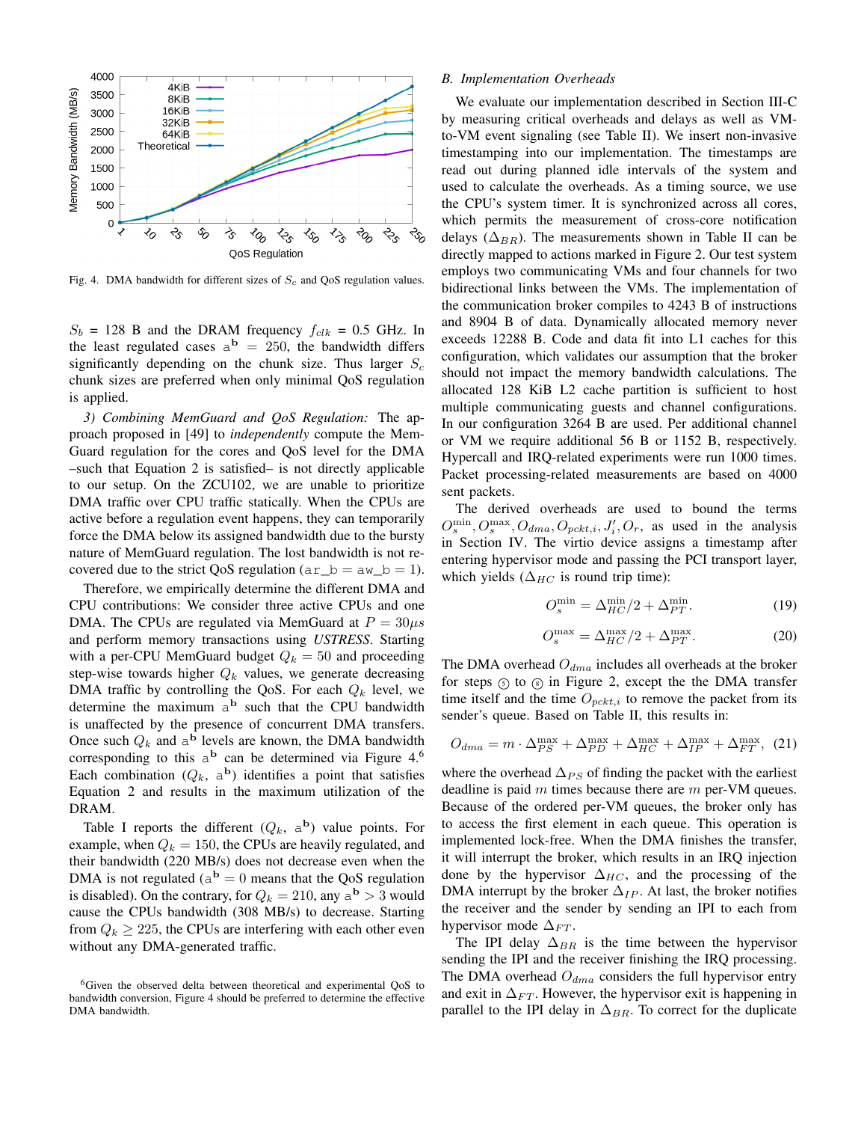

Fig. 4. DMA bandwidth for different sizes of  $S_c$  and QoS regulation values.

 $S_b$  = 128 B and the DRAM frequency  $f_{clk}$  = 0.5 GHz. In the least regulated cases  $a^b = 250$ , the bandwidth differs significantly depending on the chunk size. Thus larger  $S_c$ chunk sizes are preferred when only minimal QoS regulation is applied.

*3) Combining MemGuard and QoS Regulation:* The approach proposed in [49] to *independently* compute the Mem-Guard regulation for the cores and QoS level for the DMA –such that Equation 2 is satisfied– is not directly applicable to our setup. On the ZCU102, we are unable to prioritize DMA traffic over CPU traffic statically. When the CPUs are active before a regulation event happens, they can temporarily force the DMA below its assigned bandwidth due to the bursty nature of MemGuard regulation. The lost bandwidth is not recovered due to the strict QoS regulation  $(ar_b = aw_b = 1)$ .

Therefore, we empirically determine the different DMA and CPU contributions: We consider three active CPUs and one DMA. The CPUs are regulated via MemGuard at  $P = 30 \mu s$ and perform memory transactions using *USTRESS*. Starting with a per-CPU MemGuard budget  $Q_k = 50$  and proceeding step-wise towards higher  $Q_k$  values, we generate decreasing DMA traffic by controlling the QoS. For each  $Q_k$  level, we determine the maximum  $a^b$  such that the CPU bandwidth is unaffected by the presence of concurrent DMA transfers. Once such  $Q_k$  and  $a^b$  levels are known, the DMA bandwidth corresponding to this  $a^b$  can be determined via Figure 4.6 Each combination  $(Q_k, a^b)$  identifies a point that satisfies Equation 2 and results in the maximum utilization of the DRAM.

Table I reports the different  $(Q_k, a^b)$  value points. For example, when  $Q_k = 150$ , the CPUs are heavily regulated, and their bandwidth (220 MB/s) does not decrease even when the DMA is not regulated ( $a^{\bf b} = 0$  means that the QoS regulation is disabled). On the contrary, for  $Q_k = 210$ , any  $a^{\mathbf{b}} > 3$  would cause the CPUs bandwidth (308 MB/s) to decrease. Starting from  $Q_k \geq 225$ , the CPUs are interfering with each other even without any DMA-generated traffic.

# *B. Implementation Overheads*

We evaluate our implementation described in Section III-C by measuring critical overheads and delays as well as VMto-VM event signaling (see Table II). We insert non-invasive timestamping into our implementation. The timestamps are read out during planned idle intervals of the system and used to calculate the overheads. As a timing source, we use the CPU's system timer. It is synchronized across all cores, which permits the measurement of cross-core notification delays ( $\Delta_{BR}$ ). The measurements shown in Table II can be directly mapped to actions marked in Figure 2. Our test system employs two communicating VMs and four channels for two bidirectional links between the VMs. The implementation of the communication broker compiles to 4243 B of instructions and 8904 B of data. Dynamically allocated memory never exceeds 12288 B. Code and data fit into L1 caches for this configuration, which validates our assumption that the broker should not impact the memory bandwidth calculations. The allocated 128 KiB L2 cache partition is sufficient to host multiple communicating guests and channel configurations. In our configuration 3264 B are used. Per additional channel or VM we require additional 56 B or 1152 B, respectively. Hypercall and IRQ-related experiments were run 1000 times. Packet processing-related measurements are based on 4000 sent packets.

The derived overheads are used to bound the terms  $O_s^{\min}$ ,  $O_{s}^{\max}$ ,  $O_{dma}$ ,  $O_{pckt,i}$ ,  $J'_i$ ,  $O_r$ , as used in the analysis in Section IV. The virtio device assigns a timestamp after entering hypervisor mode and passing the PCI transport layer, which yields ( $\Delta_{HC}$  is round trip time):

$$
O_s^{\min} = \Delta_{HC}^{\min}/2 + \Delta_{PT}^{\min}.
$$
 (19)

$$
O_s^{\max} = \Delta_{HC}^{\max}/2 + \Delta_{PT}^{\max}.
$$
 (20)

The DMA overhead  $O_{dma}$  includes all overheads at the broker for steps  $\circled{S}$  to  $\circled{S}$  in Figure 2, except the the DMA transfer time itself and the time  $O_{pckt,i}$  to remove the packet from its sender's queue. Based on Table II, this results in:

$$
O_{dma} = m \cdot \Delta_{PS}^{\max} + \Delta_{PD}^{\max} + \Delta_{HC}^{\max} + \Delta_{IP}^{\max} + \Delta_{FT}^{\max}, (21)
$$

where the overhead  $\Delta_{PS}$  of finding the packet with the earliest deadline is paid  $m$  times because there are  $m$  per-VM queues. Because of the ordered per-VM queues, the broker only has to access the first element in each queue. This operation is implemented lock-free. When the DMA finishes the transfer, it will interrupt the broker, which results in an IRQ injection done by the hypervisor  $\Delta_{HC}$ , and the processing of the DMA interrupt by the broker  $\Delta_{IP}$ . At last, the broker notifies the receiver and the sender by sending an IPI to each from hypervisor mode  $\Delta_{FT}$ .

The IPI delay  $\Delta_{BR}$  is the time between the hypervisor sending the IPI and the receiver finishing the IRQ processing. The DMA overhead  $O_{dma}$  considers the full hypervisor entry and exit in  $\Delta_{FT}$ . However, the hypervisor exit is happening in parallel to the IPI delay in  $\Delta_{BR}$ . To correct for the duplicate

<sup>&</sup>lt;sup>6</sup>Given the observed delta between theoretical and experimental OoS to bandwidth conversion, Figure 4 should be preferred to determine the effective DMA bandwidth.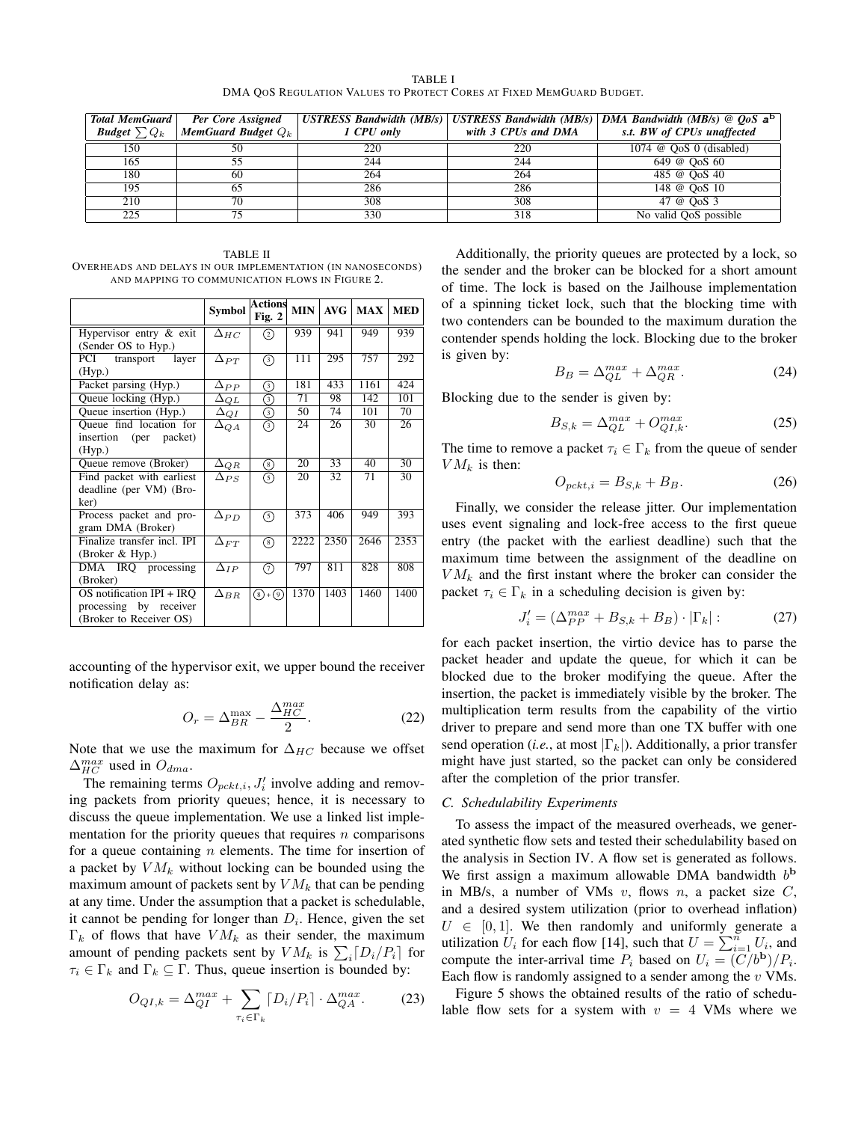TABLE I DMA QOS REGULATION VALUES TO PROTECT CORES AT FIXED MEMGUARD BUDGET.

| <b>Total MemGuard</b>    | Per Core Assigned     |            |                     | USTRESS Bandwidth (MB/s)   USTRESS Bandwidth (MB/s)   DMA Bandwidth (MB/s) @ $Q_0S$ a <sup>b</sup> |
|--------------------------|-----------------------|------------|---------------------|----------------------------------------------------------------------------------------------------|
| <b>Budget</b> $\sum Q_k$ | MemGuard Budget $Q_k$ | 1 CPU only | with 3 CPUs and DMA | s.t. BW of CPUs unaffected                                                                         |
| 150                      | 50                    | 220        | 220                 | 1074 $\circledcirc$ QoS 0 (disabled)                                                               |
| 165                      | 55                    | 244        | 244                 | 649 @ OoS 60                                                                                       |
| 180                      | -60                   | 264        | 264                 | 485 @ OoS 40                                                                                       |
| 195                      | 65                    | 286        | 286                 | 148 @ OoS 10                                                                                       |
| 210                      | 70                    | 308        | 308                 | 47 @ OoS 3                                                                                         |
| 225                      | 75                    | 330        | 318                 | No valid QoS possible                                                                              |

TABLE II OVERHEADS AND DELAYS IN OUR IMPLEMENTATION (IN NANOSECONDS) AND MAPPING TO COMMUNICATION FLOWS IN FIGURE 2.

|                             | <b>Symbol</b> | <b>Actions</b><br>Fig. $2$ | <b>MIN</b>      | AVG             | <b>MAX</b> | <b>MED</b>      |
|-----------------------------|---------------|----------------------------|-----------------|-----------------|------------|-----------------|
| Hypervisor entry & exit     | $\Delta_{HC}$ | ②                          | 939             | 941             | 949        | 939             |
| (Sender OS to Hyp.)         |               |                            |                 |                 |            |                 |
| PCI<br>transport<br>layer   | $\Delta_{PT}$ | ᠗                          | 111             | 295             | 757        | 292             |
| (Hyp.)                      |               |                            |                 |                 |            |                 |
| Packet parsing (Hyp.)       | $\Delta_{PP}$ |                            | 181             | 433             | 1161       | 424             |
| Queue locking (Hyp.)        | $\Delta_{QL}$ | ⊚                          | 71              | 98              | 142        | 101             |
| Queue insertion (Hyp.)      | $\Delta_{QI}$ | ⊚                          | $\overline{50}$ | 74              | 101        | 70              |
| Queue find location for     | $\Delta_{QA}$ | $^{(3)}$                   | 24              | $\overline{26}$ | 30         | $\overline{26}$ |
| insertion<br>(per packet)   |               |                            |                 |                 |            |                 |
| (Hyp.)                      |               |                            |                 |                 |            |                 |
| Queue remove (Broker)       | $\Delta_{QR}$ | ◉                          | 20              | 33              | 40         | 30              |
| Find packet with earliest   | $\Delta_{PS}$ | G)                         | 20              | 32              | 71         | 30              |
| deadline (per VM) (Bro-     |               |                            |                 |                 |            |                 |
| ker)                        |               |                            |                 |                 |            |                 |
| Process packet and pro-     | $\Delta_{PD}$ | 6                          | 373             | 406             | 949        | 393             |
| gram DMA (Broker)           |               |                            |                 |                 |            |                 |
| Finalize transfer incl. IPI | $\Delta_{FT}$ | ⊛                          | 2222            | 2350            | 2646       | 2353            |
| (Broker & Hyp.)             |               |                            |                 |                 |            |                 |
| DMA IRQ processing          | $\Delta_{IP}$ | の                          | 797             | 811             | 828        | 808             |
| (Broker)                    |               |                            |                 |                 |            |                 |
| OS notification IPI + IRO   | $\Delta_{BR}$ | $(8)+(9)$                  | 1370            | 1403            | 1460       | 1400            |
| processing by receiver      |               |                            |                 |                 |            |                 |
| (Broker to Receiver OS)     |               |                            |                 |                 |            |                 |

accounting of the hypervisor exit, we upper bound the receiver notification delay as:

$$
O_r = \Delta_{BR}^{\text{max}} - \frac{\Delta_{HC}^{max}}{2}.
$$
 (22)

Note that we use the maximum for  $\Delta_{HC}$  because we offset  $\Delta_{HC}^{max}$  used in  $O_{dma}$ .

The remaining terms  $O_{pckt,i}$ ,  $J'_{i}$  involve adding and removing packets from priority queues; hence, it is necessary to discuss the queue implementation. We use a linked list implementation for the priority queues that requires  $n$  comparisons for a queue containing  $n$  elements. The time for insertion of a packet by  $VM_k$  without locking can be bounded using the maximum amount of packets sent by  $VM_k$  that can be pending at any time. Under the assumption that a packet is schedulable, it cannot be pending for longer than  $D_i$ . Hence, given the set  $\Gamma_k$  of flows that have  $VM_k$  as their sender, the maximum amount of pending packets sent by  $VM_k$  is  $\sum_i [D_i/P_i]$  for  $\tau_i \in \Gamma_k$  and  $\Gamma_k \subseteq \Gamma$ . Thus, queue insertion is bounded by:

$$
O_{QI,k} = \Delta_{QI}^{max} + \sum_{\tau_i \in \Gamma_k} \left[ D_i / P_i \right] \cdot \Delta_{QA}^{max}.
$$
 (23)

Additionally, the priority queues are protected by a lock, so the sender and the broker can be blocked for a short amount of time. The lock is based on the Jailhouse implementation of a spinning ticket lock, such that the blocking time with two contenders can be bounded to the maximum duration the contender spends holding the lock. Blocking due to the broker is given by:

$$
B_B = \Delta_{QL}^{max} + \Delta_{QR}^{max}.
$$
 (24)

Blocking due to the sender is given by:

$$
B_{S,k} = \Delta_{QL}^{max} + O_{QI,k}^{max}.
$$
 (25)

The time to remove a packet  $\tau_i \in \Gamma_k$  from the queue of sender  $VM_k$  is then:

$$
O_{pckt,i} = B_{S,k} + B_B.
$$
\n<sup>(26)</sup>

Finally, we consider the release jitter. Our implementation uses event signaling and lock-free access to the first queue entry (the packet with the earliest deadline) such that the maximum time between the assignment of the deadline on  $VM_k$  and the first instant where the broker can consider the packet  $\tau_i \in \Gamma_k$  in a scheduling decision is given by:

$$
J_i' = \left(\Delta_{PP}^{max} + B_{S,k} + B_B\right) \cdot \left|\Gamma_k\right| \tag{27}
$$

for each packet insertion, the virtio device has to parse the packet header and update the queue, for which it can be blocked due to the broker modifying the queue. After the insertion, the packet is immediately visible by the broker. The multiplication term results from the capability of the virtio driver to prepare and send more than one TX buffer with one send operation (*i.e.*, at most  $|\Gamma_k|$ ). Additionally, a prior transfer might have just started, so the packet can only be considered after the completion of the prior transfer.

# *C. Schedulability Experiments*

To assess the impact of the measured overheads, we generated synthetic flow sets and tested their schedulability based on the analysis in Section IV. A flow set is generated as follows. We first assign a maximum allowable DMA bandwidth  $b<sup>b</sup>$ in MB/s, a number of VMs v, flows n, a packet size  $C$ , and a desired system utilization (prior to overhead inflation)  $U \in [0, 1]$ . We then randomly and uniformly generate a utilization  $U_i$  for each flow [14], such that  $U = \sum_{i=1}^{n} U_i$ , and compute the inter-arrival time  $P_i$  based on  $U_i = (C/b^b)/P_i$ . Each flow is randomly assigned to a sender among the  $v$  VMs.

Figure 5 shows the obtained results of the ratio of schedulable flow sets for a system with  $v = 4$  VMs where we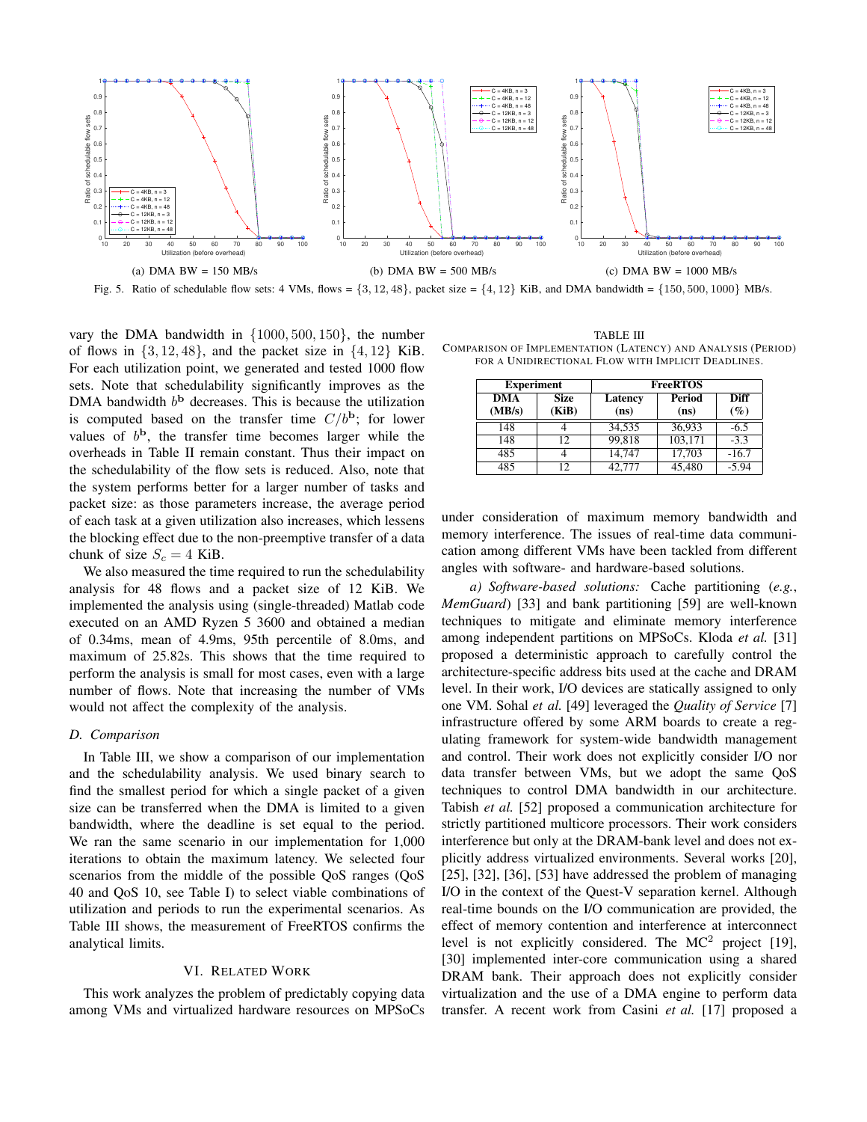

Fig. 5. Ratio of schedulable flow sets: 4 VMs, flows =  $\{3, 12, 48\}$ , packet size =  $\{4, 12\}$  KiB, and DMA bandwidth =  $\{150, 500, 1000\}$  MB/s.

vary the DMA bandwidth in {1000, 500, 150}, the number of flows in  $\{3, 12, 48\}$ , and the packet size in  $\{4, 12\}$  KiB. For each utilization point, we generated and tested 1000 flow sets. Note that schedulability significantly improves as the DMA bandwidth  $b<sup>b</sup>$  decreases. This is because the utilization is computed based on the transfer time  $C/b^b$ ; for lower values of  $b^{\rm b}$ , the transfer time becomes larger while the overheads in Table II remain constant. Thus their impact on the schedulability of the flow sets is reduced. Also, note that the system performs better for a larger number of tasks and packet size: as those parameters increase, the average period of each task at a given utilization also increases, which lessens the blocking effect due to the non-preemptive transfer of a data chunk of size  $S_c = 4$  KiB.

We also measured the time required to run the schedulability analysis for 48 flows and a packet size of 12 KiB. We implemented the analysis using (single-threaded) Matlab code executed on an AMD Ryzen 5 3600 and obtained a median of 0.34ms, mean of 4.9ms, 95th percentile of 8.0ms, and maximum of 25.82s. This shows that the time required to perform the analysis is small for most cases, even with a large number of flows. Note that increasing the number of VMs would not affect the complexity of the analysis.

#### *D. Comparison*

In Table III, we show a comparison of our implementation and the schedulability analysis. We used binary search to find the smallest period for which a single packet of a given size can be transferred when the DMA is limited to a given bandwidth, where the deadline is set equal to the period. We ran the same scenario in our implementation for 1,000 iterations to obtain the maximum latency. We selected four scenarios from the middle of the possible QoS ranges (QoS 40 and QoS 10, see Table I) to select viable combinations of utilization and periods to run the experimental scenarios. As Table III shows, the measurement of FreeRTOS confirms the analytical limits.

#### VI. RELATED WORK

This work analyzes the problem of predictably copying data among VMs and virtualized hardware resources on MPSoCs

TABLE III COMPARISON OF IMPLEMENTATION (LATENCY) AND ANALYSIS (PERIOD) FOR A UNIDIRECTIONAL FLOW WITH IMPLICIT DEADLINES.

| <b>Experiment</b> |                      | <b>FreeRTOS</b> |                |                       |  |
|-------------------|----------------------|-----------------|----------------|-----------------------|--|
| DMA<br>(MB/s)     | <b>Size</b><br>(KiB) | Latency<br>(ns) | Period<br>(ns) | <b>Diff</b><br>$(\%)$ |  |
| 148               |                      | 34,535          | 36,933         | $-6.5$                |  |
| 148               | 12                   | 99,818          | 103,171        | $-3.3$                |  |
| 485               |                      | 14.747          | 17,703         | $-16.7$               |  |
| 485               | 12                   | 42,777          | 45,480         | $-5.94$               |  |

under consideration of maximum memory bandwidth and memory interference. The issues of real-time data communication among different VMs have been tackled from different angles with software- and hardware-based solutions.

*a) Software-based solutions:* Cache partitioning (*e.g.*, *MemGuard*) [33] and bank partitioning [59] are well-known techniques to mitigate and eliminate memory interference among independent partitions on MPSoCs. Kloda *et al.* [31] proposed a deterministic approach to carefully control the architecture-specific address bits used at the cache and DRAM level. In their work, I/O devices are statically assigned to only one VM. Sohal *et al.* [49] leveraged the *Quality of Service* [7] infrastructure offered by some ARM boards to create a regulating framework for system-wide bandwidth management and control. Their work does not explicitly consider I/O nor data transfer between VMs, but we adopt the same QoS techniques to control DMA bandwidth in our architecture. Tabish *et al.* [52] proposed a communication architecture for strictly partitioned multicore processors. Their work considers interference but only at the DRAM-bank level and does not explicitly address virtualized environments. Several works [20], [25], [32], [36], [53] have addressed the problem of managing I/O in the context of the Quest-V separation kernel. Although real-time bounds on the I/O communication are provided, the effect of memory contention and interference at interconnect level is not explicitly considered. The  $MC^2$  project [19], [30] implemented inter-core communication using a shared DRAM bank. Their approach does not explicitly consider virtualization and the use of a DMA engine to perform data transfer. A recent work from Casini *et al.* [17] proposed a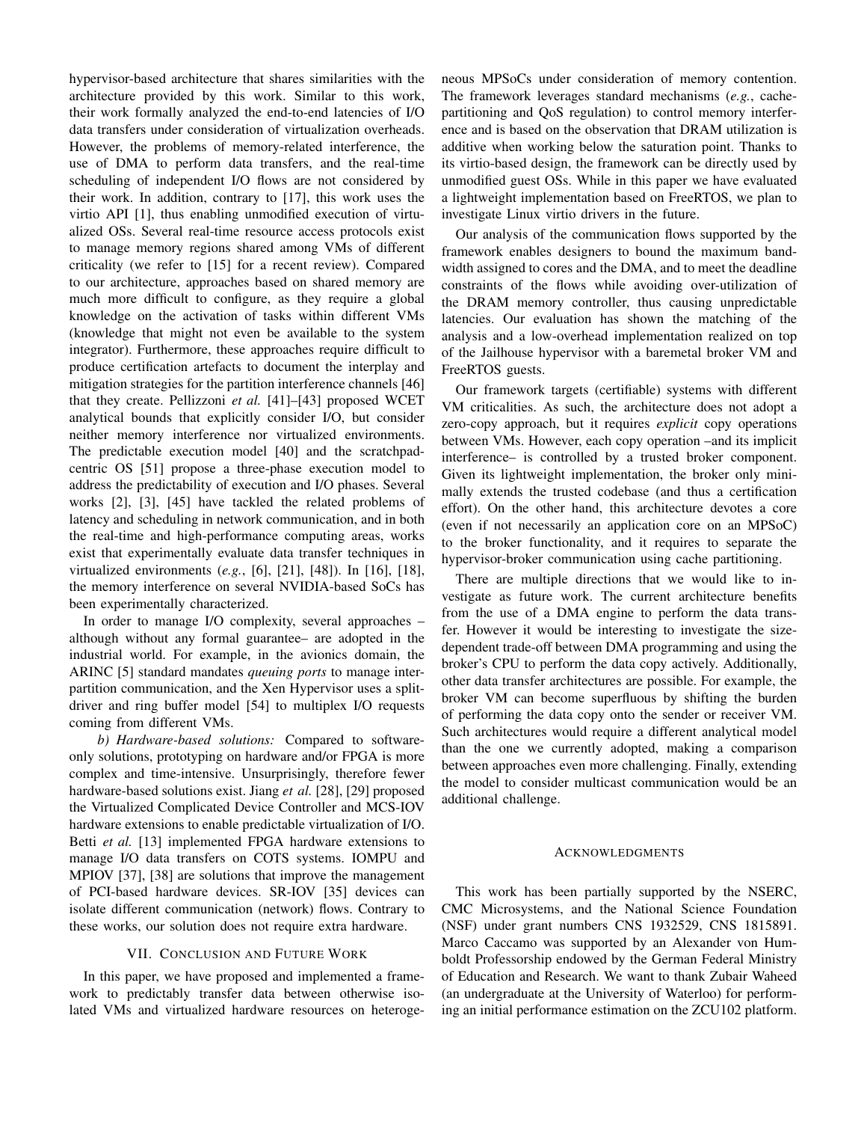hypervisor-based architecture that shares similarities with the architecture provided by this work. Similar to this work, their work formally analyzed the end-to-end latencies of I/O data transfers under consideration of virtualization overheads. However, the problems of memory-related interference, the use of DMA to perform data transfers, and the real-time scheduling of independent I/O flows are not considered by their work. In addition, contrary to [17], this work uses the virtio API [1], thus enabling unmodified execution of virtualized OSs. Several real-time resource access protocols exist to manage memory regions shared among VMs of different criticality (we refer to [15] for a recent review). Compared to our architecture, approaches based on shared memory are much more difficult to configure, as they require a global knowledge on the activation of tasks within different VMs (knowledge that might not even be available to the system integrator). Furthermore, these approaches require difficult to produce certification artefacts to document the interplay and mitigation strategies for the partition interference channels [46] that they create. Pellizzoni *et al.* [41]–[43] proposed WCET analytical bounds that explicitly consider I/O, but consider neither memory interference nor virtualized environments. The predictable execution model [40] and the scratchpadcentric OS [51] propose a three-phase execution model to address the predictability of execution and I/O phases. Several works [2], [3], [45] have tackled the related problems of latency and scheduling in network communication, and in both the real-time and high-performance computing areas, works exist that experimentally evaluate data transfer techniques in virtualized environments (*e.g.*, [6], [21], [48]). In [16], [18], the memory interference on several NVIDIA-based SoCs has been experimentally characterized.

In order to manage I/O complexity, several approaches – although without any formal guarantee– are adopted in the industrial world. For example, in the avionics domain, the ARINC [5] standard mandates *queuing ports* to manage interpartition communication, and the Xen Hypervisor uses a splitdriver and ring buffer model [54] to multiplex I/O requests coming from different VMs.

*b) Hardware-based solutions:* Compared to softwareonly solutions, prototyping on hardware and/or FPGA is more complex and time-intensive. Unsurprisingly, therefore fewer hardware-based solutions exist. Jiang *et al.* [28], [29] proposed the Virtualized Complicated Device Controller and MCS-IOV hardware extensions to enable predictable virtualization of I/O. Betti *et al.* [13] implemented FPGA hardware extensions to manage I/O data transfers on COTS systems. IOMPU and MPIOV [37], [38] are solutions that improve the management of PCI-based hardware devices. SR-IOV [35] devices can isolate different communication (network) flows. Contrary to these works, our solution does not require extra hardware.

## VII. CONCLUSION AND FUTURE WORK

In this paper, we have proposed and implemented a framework to predictably transfer data between otherwise isolated VMs and virtualized hardware resources on heterogeneous MPSoCs under consideration of memory contention. The framework leverages standard mechanisms (*e.g.*, cachepartitioning and QoS regulation) to control memory interference and is based on the observation that DRAM utilization is additive when working below the saturation point. Thanks to its virtio-based design, the framework can be directly used by unmodified guest OSs. While in this paper we have evaluated a lightweight implementation based on FreeRTOS, we plan to investigate Linux virtio drivers in the future.

Our analysis of the communication flows supported by the framework enables designers to bound the maximum bandwidth assigned to cores and the DMA, and to meet the deadline constraints of the flows while avoiding over-utilization of the DRAM memory controller, thus causing unpredictable latencies. Our evaluation has shown the matching of the analysis and a low-overhead implementation realized on top of the Jailhouse hypervisor with a baremetal broker VM and FreeRTOS guests.

Our framework targets (certifiable) systems with different VM criticalities. As such, the architecture does not adopt a zero-copy approach, but it requires *explicit* copy operations between VMs. However, each copy operation –and its implicit interference– is controlled by a trusted broker component. Given its lightweight implementation, the broker only minimally extends the trusted codebase (and thus a certification effort). On the other hand, this architecture devotes a core (even if not necessarily an application core on an MPSoC) to the broker functionality, and it requires to separate the hypervisor-broker communication using cache partitioning.

There are multiple directions that we would like to investigate as future work. The current architecture benefits from the use of a DMA engine to perform the data transfer. However it would be interesting to investigate the sizedependent trade-off between DMA programming and using the broker's CPU to perform the data copy actively. Additionally, other data transfer architectures are possible. For example, the broker VM can become superfluous by shifting the burden of performing the data copy onto the sender or receiver VM. Such architectures would require a different analytical model than the one we currently adopted, making a comparison between approaches even more challenging. Finally, extending the model to consider multicast communication would be an additional challenge.

#### ACKNOWLEDGMENTS

This work has been partially supported by the NSERC, CMC Microsystems, and the National Science Foundation (NSF) under grant numbers CNS 1932529, CNS 1815891. Marco Caccamo was supported by an Alexander von Humboldt Professorship endowed by the German Federal Ministry of Education and Research. We want to thank Zubair Waheed (an undergraduate at the University of Waterloo) for performing an initial performance estimation on the ZCU102 platform.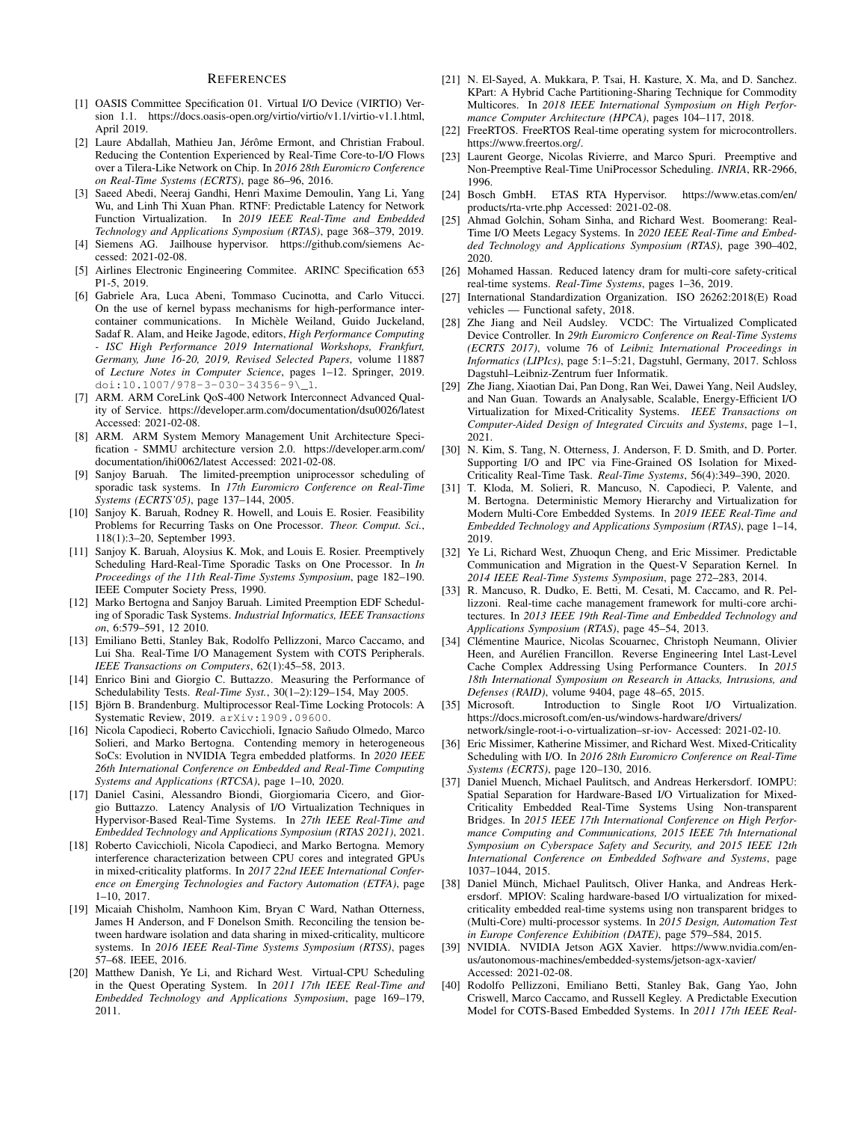## **REFERENCES**

- [1] OASIS Committee Specification 01. Virtual I/O Device (VIRTIO) Version 1.1. https://docs.oasis-open.org/virtio/virtio/v1.1/virtio-v1.1.html, April 2019.
- [2] Laure Abdallah, Mathieu Jan, Jérôme Ermont, and Christian Fraboul. Reducing the Contention Experienced by Real-Time Core-to-I/O Flows over a Tilera-Like Network on Chip. In *2016 28th Euromicro Conference on Real-Time Systems (ECRTS)*, page 86–96, 2016.
- [3] Saeed Abedi, Neeraj Gandhi, Henri Maxime Demoulin, Yang Li, Yang Wu, and Linh Thi Xuan Phan. RTNF: Predictable Latency for Network Function Virtualization. In *2019 IEEE Real-Time and Embedded Technology and Applications Symposium (RTAS)*, page 368–379, 2019.
- [4] Siemens AG. Jailhouse hypervisor. https://github.com/siemens Accessed: 2021-02-08.
- [5] Airlines Electronic Engineering Commitee. ARINC Specification 653 P1-5, 2019.
- [6] Gabriele Ara, Luca Abeni, Tommaso Cucinotta, and Carlo Vitucci. On the use of kernel bypass mechanisms for high-performance intercontainer communications. In Michèle Weiland, Guido Juckeland, Sadaf R. Alam, and Heike Jagode, editors, *High Performance Computing - ISC High Performance 2019 International Workshops, Frankfurt, Germany, June 16-20, 2019, Revised Selected Papers*, volume 11887 of *Lecture Notes in Computer Science*, pages 1–12. Springer, 2019. doi:10.1007/978-3-030-34356-9\\_1.
- [7] ARM. ARM CoreLink QoS-400 Network Interconnect Advanced Quality of Service. https://developer.arm.com/documentation/dsu0026/latest Accessed: 2021-02-08.
- [8] ARM. ARM System Memory Management Unit Architecture Specification - SMMU architecture version 2.0. https://developer.arm.com/ documentation/ihi0062/latest Accessed: 2021-02-08.
- [9] Sanjoy Baruah. The limited-preemption uniprocessor scheduling of sporadic task systems. In *17th Euromicro Conference on Real-Time Systems (ECRTS'05)*, page 137–144, 2005.
- [10] Sanjoy K. Baruah, Rodney R. Howell, and Louis E. Rosier. Feasibility Problems for Recurring Tasks on One Processor. *Theor. Comput. Sci.*, 118(1):3–20, September 1993.
- [11] Sanjoy K. Baruah, Aloysius K. Mok, and Louis E. Rosier. Preemptively Scheduling Hard-Real-Time Sporadic Tasks on One Processor. In *In Proceedings of the 11th Real-Time Systems Symposium*, page 182–190. IEEE Computer Society Press, 1990.
- [12] Marko Bertogna and Sanjoy Baruah. Limited Preemption EDF Scheduling of Sporadic Task Systems. *Industrial Informatics, IEEE Transactions on*, 6:579–591, 12 2010.
- [13] Emiliano Betti, Stanley Bak, Rodolfo Pellizzoni, Marco Caccamo, and Lui Sha. Real-Time I/O Management System with COTS Peripherals. *IEEE Transactions on Computers*, 62(1):45–58, 2013.
- [14] Enrico Bini and Giorgio C. Buttazzo. Measuring the Performance of Schedulability Tests. *Real-Time Syst.*, 30(1–2):129–154, May 2005.
- [15] Björn B. Brandenburg. Multiprocessor Real-Time Locking Protocols: A Systematic Review, 2019. arXiv:1909.09600.
- [16] Nicola Capodieci, Roberto Cavicchioli, Ignacio Sañudo Olmedo, Marco Solieri, and Marko Bertogna. Contending memory in heterogeneous SoCs: Evolution in NVIDIA Tegra embedded platforms. In *2020 IEEE 26th International Conference on Embedded and Real-Time Computing Systems and Applications (RTCSA)*, page 1–10, 2020.
- [17] Daniel Casini, Alessandro Biondi, Giorgiomaria Cicero, and Giorgio Buttazzo. Latency Analysis of I/O Virtualization Techniques in Hypervisor-Based Real-Time Systems. In *27th IEEE Real-Time and Embedded Technology and Applications Symposium (RTAS 2021)*, 2021.
- [18] Roberto Cavicchioli, Nicola Capodieci, and Marko Bertogna. Memory interference characterization between CPU cores and integrated GPUs in mixed-criticality platforms. In *2017 22nd IEEE International Conference on Emerging Technologies and Factory Automation (ETFA)*, page 1–10, 2017.
- [19] Micaiah Chisholm, Namhoon Kim, Bryan C Ward, Nathan Otterness, James H Anderson, and F Donelson Smith. Reconciling the tension between hardware isolation and data sharing in mixed-criticality, multicore systems. In *2016 IEEE Real-Time Systems Symposium (RTSS)*, pages 57–68. IEEE, 2016.
- [20] Matthew Danish, Ye Li, and Richard West. Virtual-CPU Scheduling in the Quest Operating System. In *2011 17th IEEE Real-Time and Embedded Technology and Applications Symposium*, page 169–179, 2011.
- [21] N. El-Sayed, A. Mukkara, P. Tsai, H. Kasture, X. Ma, and D. Sanchez. KPart: A Hybrid Cache Partitioning-Sharing Technique for Commodity Multicores. In *2018 IEEE International Symposium on High Performance Computer Architecture (HPCA)*, pages 104–117, 2018.
- [22] FreeRTOS. FreeRTOS Real-time operating system for microcontrollers. https://www.freertos.org/.
- [23] Laurent George, Nicolas Rivierre, and Marco Spuri. Preemptive and Non-Preemptive Real-Time UniProcessor Scheduling. *INRIA*, RR-2966, 1996.
- [24] Bosch GmbH. ETAS RTA Hypervisor. https://www.etas.com/en/ products/rta-vrte.php Accessed: 2021-02-08.
- [25] Ahmad Golchin, Soham Sinha, and Richard West. Boomerang: Real-Time I/O Meets Legacy Systems. In *2020 IEEE Real-Time and Embedded Technology and Applications Symposium (RTAS)*, page 390–402, 2020.
- [26] Mohamed Hassan. Reduced latency dram for multi-core safety-critical real-time systems. *Real-Time Systems*, pages 1–36, 2019.
- [27] International Standardization Organization. ISO 26262:2018(E) Road vehicles — Functional safety, 2018.
- [28] Zhe Jiang and Neil Audsley. VCDC: The Virtualized Complicated Device Controller. In *29th Euromicro Conference on Real-Time Systems (ECRTS 2017)*, volume 76 of *Leibniz International Proceedings in Informatics (LIPIcs)*, page 5:1–5:21, Dagstuhl, Germany, 2017. Schloss Dagstuhl–Leibniz-Zentrum fuer Informatik.
- [29] Zhe Jiang, Xiaotian Dai, Pan Dong, Ran Wei, Dawei Yang, Neil Audsley, and Nan Guan. Towards an Analysable, Scalable, Energy-Efficient I/O Virtualization for Mixed-Criticality Systems. *IEEE Transactions on Computer-Aided Design of Integrated Circuits and Systems*, page 1–1, 2021.
- [30] N. Kim, S. Tang, N. Otterness, J. Anderson, F. D. Smith, and D. Porter. Supporting I/O and IPC via Fine-Grained OS Isolation for Mixed-Criticality Real-Time Task. *Real-Time Systems*, 56(4):349–390, 2020.
- [31] T. Kloda, M. Solieri, R. Mancuso, N. Capodieci, P. Valente, and M. Bertogna. Deterministic Memory Hierarchy and Virtualization for Modern Multi-Core Embedded Systems. In *2019 IEEE Real-Time and Embedded Technology and Applications Symposium (RTAS)*, page 1–14, 2019.
- [32] Ye Li, Richard West, Zhuoqun Cheng, and Eric Missimer. Predictable Communication and Migration in the Quest-V Separation Kernel. In *2014 IEEE Real-Time Systems Symposium*, page 272–283, 2014.
- [33] R. Mancuso, R. Dudko, E. Betti, M. Cesati, M. Caccamo, and R. Pellizzoni. Real-time cache management framework for multi-core architectures. In *2013 IEEE 19th Real-Time and Embedded Technology and Applications Symposium (RTAS)*, page 45–54, 2013.
- [34] Clémentine Maurice, Nicolas Scouarnec, Christoph Neumann, Olivier Heen, and Aurélien Francillon. Reverse Engineering Intel Last-Level Cache Complex Addressing Using Performance Counters. In *2015 18th International Symposium on Research in Attacks, Intrusions, and Defenses (RAID)*, volume 9404, page 48–65, 2015.
- [35] Microsoft. Introduction to Single Root I/O Virtualization. https://docs.microsoft.com/en-us/windows-hardware/drivers/ network/single-root-i-o-virtualization–sr-iov- Accessed: 2021-02-10.
- [36] Eric Missimer, Katherine Missimer, and Richard West. Mixed-Criticality
- Scheduling with I/O. In *2016 28th Euromicro Conference on Real-Time Systems (ECRTS)*, page 120–130, 2016.
- [37] Daniel Muench, Michael Paulitsch, and Andreas Herkersdorf. IOMPU: Spatial Separation for Hardware-Based I/O Virtualization for Mixed-Criticality Embedded Real-Time Systems Using Non-transparent Bridges. In *2015 IEEE 17th International Conference on High Performance Computing and Communications, 2015 IEEE 7th International Symposium on Cyberspace Safety and Security, and 2015 IEEE 12th International Conference on Embedded Software and Systems*, page 1037–1044, 2015.
- [38] Daniel Münch, Michael Paulitsch, Oliver Hanka, and Andreas Herkersdorf. MPIOV: Scaling hardware-based I/O virtualization for mixedcriticality embedded real-time systems using non transparent bridges to (Multi-Core) multi-processor systems. In *2015 Design, Automation Test in Europe Conference Exhibition (DATE)*, page 579–584, 2015.
- [39] NVIDIA. NVIDIA Jetson AGX Xavier. https://www.nvidia.com/enus/autonomous-machines/embedded-systems/jetson-agx-xavier/ Accessed: 2021-02-08.
- [40] Rodolfo Pellizzoni, Emiliano Betti, Stanley Bak, Gang Yao, John Criswell, Marco Caccamo, and Russell Kegley. A Predictable Execution Model for COTS-Based Embedded Systems. In *2011 17th IEEE Real-*